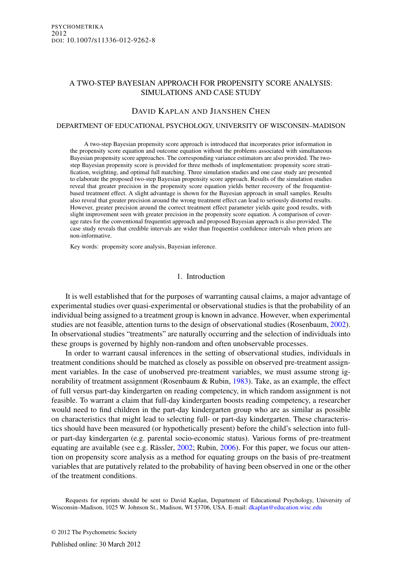# A TWO-STEP BAYESIAN APPROACH FOR PROPENSITY SCORE ANALYSIS: SIMULATIONS AND CASE STUDY

# DAVID KAPLAN AND JIANSHEN CHEN

# DEPARTMENT OF EDUCATIONAL PSYCHOLOGY, UNIVERSITY OF WISCONSIN–MADISON

A two-step Bayesian propensity score approach is introduced that incorporates prior information in the propensity score equation and outcome equation without the problems associated with simultaneous Bayesian propensity score approaches. The corresponding variance estimators are also provided. The twostep Bayesian propensity score is provided for three methods of implementation: propensity score stratification, weighting, and optimal full matching. Three simulation studies and one case study are presented to elaborate the proposed two-step Bayesian propensity score approach. Results of the simulation studies reveal that greater precision in the propensity score equation yields better recovery of the frequentistbased treatment effect. A slight advantage is shown for the Bayesian approach in small samples. Results also reveal that greater precision around the wrong treatment effect can lead to seriously distorted results. However, greater precision around the correct treatment effect parameter yields quite good results, with slight improvement seen with greater precision in the propensity score equation. A comparison of coverage rates for the conventional frequentist approach and proposed Bayesian approach is also provided. The case study reveals that credible intervals are wider than frequentist confidence intervals when priors are non-informative.

Key words: propensity score analysis, Bayesian inference.

# 1. Introduction

It is well established that for the purposes of warranting causal claims, a major advantage of experimental studies over quasi-experimental or observational studies is that the probability of an individual being assigned to a treatment group is known in advance. However, when experimental studies are not feasible, attention turns to the design of observational studies (Rosenbaum, [2002\)](#page-28-0). In observational studies "treatments" are naturally occurring and the selection of individuals into these groups is governed by highly non-random and often unobservable processes.

In order to warrant causal inferences in the setting of observational studies, individuals in treatment conditions should be matched as closely as possible on observed pre-treatment assignment variables. In the case of unobserved pre-treatment variables, we must assume strong ignorability of treatment assignment (Rosenbaum & Rubin, [1983\)](#page-28-1). Take, as an example, the effect of full versus part-day kindergarten on reading competency, in which random assignment is not feasible. To warrant a claim that full-day kindergarten boosts reading competency, a researcher would need to find children in the part-day kindergarten group who are as similar as possible on characteristics that might lead to selecting full- or part-day kindergarten. These characteristics should have been measured (or hypothetically present) before the child's selection into fullor part-day kindergarten (e.g. parental socio-economic status). Various forms of pre-treatment equating are available (see e.g. Rässler, [2002;](#page-27-0) Rubin, [2006\)](#page-28-2). For this paper, we focus our attention on propensity score analysis as a method for equating groups on the basis of pre-treatment variables that are putatively related to the probability of having been observed in one or the other of the treatment conditions.

Requests for reprints should be sent to David Kaplan, Department of Educational Psychology, University of Wisconsin–Madison, 1025 W. Johnson St., Madison, WI 53706, USA. E-mail: [dkaplan@education.wisc.edu](mailto:dkaplan@education.wisc.edu)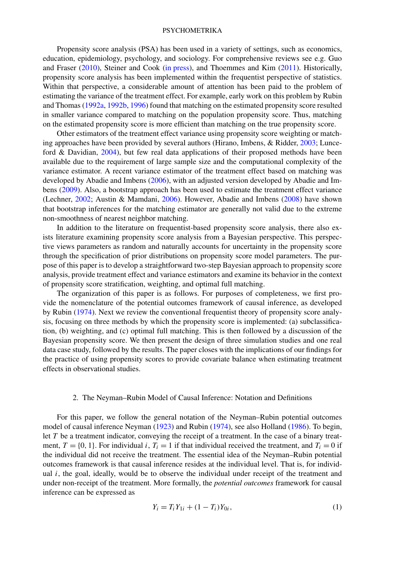Propensity score analysis (PSA) has been used in a variety of settings, such as economics, education, epidemiology, psychology, and sociology. For comprehensive reviews see e.g. Guo and Fraser [\(2010](#page-27-1)), Steiner and Cook [\(in press](#page-28-3)), and Thoemmes and Kim [\(2011](#page-28-4)). Historically, propensity score analysis has been implemented within the frequentist perspective of statistics. Within that perspective, a considerable amount of attention has been paid to the problem of estimating the variance of the treatment effect. For example, early work on this problem by Rubin and Thomas [\(1992a,](#page-28-5) [1992b](#page-28-6), [1996](#page-28-7)) found that matching on the estimated propensity score resulted in smaller variance compared to matching on the population propensity score. Thus, matching on the estimated propensity score is more efficient than matching on the true propensity score.

Other estimators of the treatment effect variance using propensity score weighting or matching approaches have been provided by several authors (Hirano, Imbens, & Ridder, [2003;](#page-27-2) Lunceford & Davidian, [2004](#page-27-3)), but few real data applications of their proposed methods have been available due to the requirement of large sample size and the computational complexity of the variance estimator. A recent variance estimator of the treatment effect based on matching was developed by Abadie and Imbens ([2006\)](#page-27-4), with an adjusted version developed by Abadie and Imbens [\(2009](#page-27-5)). Also, a bootstrap approach has been used to estimate the treatment effect variance (Lechner, [2002](#page-27-6); Austin & Mamdani, [2006](#page-27-7)). However, Abadie and Imbens [\(2008](#page-27-8)) have shown that bootstrap inferences for the matching estimator are generally not valid due to the extreme non-smoothness of nearest neighbor matching.

In addition to the literature on frequentist-based propensity score analysis, there also exists literature examining propensity score analysis from a Bayesian perspective. This perspective views parameters as random and naturally accounts for uncertainty in the propensity score through the specification of prior distributions on propensity score model parameters. The purpose of this paper is to develop a straightforward two-step Bayesian approach to propensity score analysis, provide treatment effect and variance estimators and examine its behavior in the context of propensity score stratification, weighting, and optimal full matching.

The organization of this paper is as follows. For purposes of completeness, we first provide the nomenclature of the potential outcomes framework of causal inference, as developed by Rubin ([1974\)](#page-28-8). Next we review the conventional frequentist theory of propensity score analysis, focusing on three methods by which the propensity score is implemented: (a) subclassification, (b) weighting, and (c) optimal full matching. This is then followed by a discussion of the Bayesian propensity score. We then present the design of three simulation studies and one real data case study, followed by the results. The paper closes with the implications of our findings for the practice of using propensity scores to provide covariate balance when estimating treatment effects in observational studies.

## <span id="page-1-0"></span>2. The Neyman–Rubin Model of Causal Inference: Notation and Definitions

For this paper, we follow the general notation of the Neyman–Rubin potential outcomes model of causal inference Neyman [\(1923](#page-27-9)) and Rubin [\(1974\)](#page-28-8), see also Holland ([1986\)](#page-27-10). To begin, let *T* be a treatment indicator, conveying the receipt of a treatment. In the case of a binary treatment,  $T = \{0, 1\}$ . For individual *i*,  $T_i = 1$  if that individual received the treatment, and  $T_i = 0$  if the individual did not receive the treatment. The essential idea of the Neyman–Rubin potential outcomes framework is that causal inference resides at the individual level. That is, for individual *i*, the goal, ideally, would be to observe the individual under receipt of the treatment and under non-receipt of the treatment. More formally, the *potential outcomes* framework for causal inference can be expressed as

$$
Y_i = T_i Y_{1i} + (1 - T_i) Y_{0i}, \qquad (1)
$$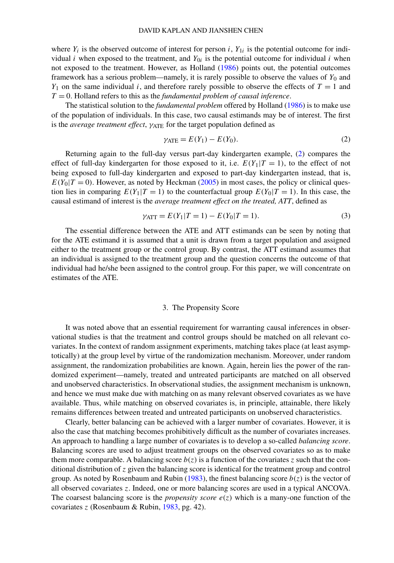<span id="page-2-0"></span>where  $Y_i$  is the observed outcome of interest for person *i*,  $Y_{1i}$  is the potential outcome for individual *i* when exposed to the treatment, and  $Y_{0i}$  is the potential outcome for individual *i* when not exposed to the treatment. However, as Holland ([1986\)](#page-27-10) points out, the potential outcomes framework has a serious problem—namely, it is rarely possible to observe the values of *Y*<sup>0</sup> and  $Y_1$  on the same individual *i*, and therefore rarely possible to observe the effects of  $T = 1$  and *T* = 0. Holland refers to this as the *fundamental problem of causal inference*.

The statistical solution to the *fundamental problem* offered by Holland [\(1986](#page-27-10)) is to make use of the population of individuals. In this case, two causal estimands may be of interest. The first is the *average treatment effect*,  $γ_{ATE}$  for the target population defined as

$$
\gamma_{\text{ATE}} = E(Y_1) - E(Y_0). \tag{2}
$$

Returning again to the full-day versus part-day kindergarten example, [\(2](#page-2-0)) compares the effect of full-day kindergarten for those exposed to it, i.e.  $E(Y|\mid T=1)$ , to the effect of not being exposed to full-day kindergarten and exposed to part-day kindergarten instead, that is,  $E(Y_0|T=0)$ . However, as noted by Heckman ([2005\)](#page-27-11) in most cases, the policy or clinical question lies in comparing  $E(Y_1|T=1)$  to the counterfactual group  $E(Y_0|T=1)$ . In this case, the causal estimand of interest is the *average treatment effect on the treated, ATT*, defined as

$$
\gamma_{\text{ATT}} = E(Y_1 | T = 1) - E(Y_0 | T = 1). \tag{3}
$$

The essential difference between the ATE and ATT estimands can be seen by noting that for the ATE estimand it is assumed that a unit is drawn from a target population and assigned either to the treatment group or the control group. By contrast, the ATT estimand assumes that an individual is assigned to the treatment group and the question concerns the outcome of that individual had he/she been assigned to the control group. For this paper, we will concentrate on estimates of the ATE.

## 3. The Propensity Score

It was noted above that an essential requirement for warranting causal inferences in observational studies is that the treatment and control groups should be matched on all relevant covariates. In the context of random assignment experiments, matching takes place (at least asymptotically) at the group level by virtue of the randomization mechanism. Moreover, under random assignment, the randomization probabilities are known. Again, herein lies the power of the randomized experiment—namely, treated and untreated participants are matched on all observed and unobserved characteristics. In observational studies, the assignment mechanism is unknown, and hence we must make due with matching on as many relevant observed covariates as we have available. Thus, while matching on observed covariates is, in principle, attainable, there likely remains differences between treated and untreated participants on unobserved characteristics.

Clearly, better balancing can be achieved with a larger number of covariates. However, it is also the case that matching becomes prohibitively difficult as the number of covariates increases. An approach to handling a large number of covariates is to develop a so-called *balancing score*. Balancing scores are used to adjust treatment groups on the observed covariates so as to make them more comparable. A balancing score  $b(z)$  is a function of the covariates *z* such that the conditional distribution of *z* given the balancing score is identical for the treatment group and control group. As noted by Rosenbaum and Rubin ([1983](#page-28-1)), the finest balancing score  $b(z)$  is the vector of all observed covariates *z*. Indeed, one or more balancing scores are used in a typical ANCOVA. The coarsest balancing score is the *propensity score e(z)* which is a many-one function of the covariates *z* (Rosenbaum & Rubin, [1983,](#page-28-1) pg. 42).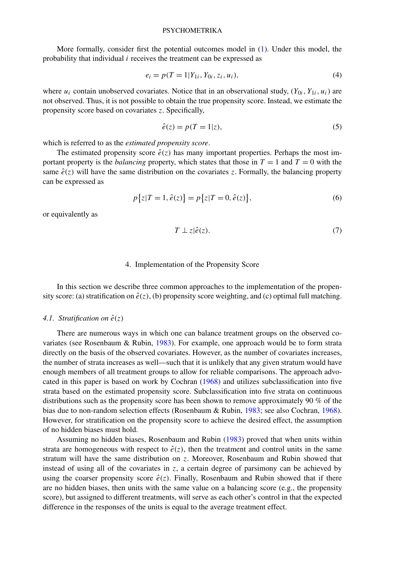More formally, consider first the potential outcomes model in [\(1](#page-1-0)). Under this model, the probability that individual *i* receives the treatment can be expressed as

$$
e_i = p(T = 1 | Y_{1i}, Y_{0i}, z_i, u_i),
$$
\n(4)

where  $u_i$  contain unobserved covariates. Notice that in an observational study,  $(Y_{0i}, Y_{1i}, u_i)$  are not observed. Thus, it is not possible to obtain the true propensity score. Instead, we estimate the propensity score based on covariates *z*. Specifically,

$$
\hat{e}(z) = p(T = 1|z),\tag{5}
$$

which is referred to as the *estimated propensity score*.

The estimated propensity score  $\hat{e}(z)$  has many important properties. Perhaps the most important property is the *balancing* property, which states that those in  $T = 1$  and  $T = 0$  with the same  $\hat{e}(z)$  will have the same distribution on the covariates *z*. Formally, the balancing property can be expressed as

$$
p\{z|T=1,\hat{e}(z)\} = p\{z|T=0,\hat{e}(z)\},\tag{6}
$$

or equivalently as

$$
T \perp z|\hat{e}(z). \tag{7}
$$

# 4. Implementation of the Propensity Score

In this section we describe three common approaches to the implementation of the propensity score: (a) stratification on  $\hat{e}(z)$ , (b) propensity score weighting, and (c) optimal full matching.

## *4.1. Stratification on*  $\hat{e}(z)$

There are numerous ways in which one can balance treatment groups on the observed covariates (see Rosenbaum & Rubin, [1983](#page-28-1)). For example, one approach would be to form strata directly on the basis of the observed covariates. However, as the number of covariates increases, the number of strata increases as well—such that it is unlikely that any given stratum would have enough members of all treatment groups to allow for reliable comparisons. The approach advocated in this paper is based on work by Cochran ([1968\)](#page-27-12) and utilizes subclassification into five strata based on the estimated propensity score. Subclassification into five strata on continuous distributions such as the propensity score has been shown to remove approximately 90 % of the bias due to non-random selection effects (Rosenbaum & Rubin, [1983;](#page-28-1) see also Cochran, [1968\)](#page-27-12). However, for stratification on the propensity score to achieve the desired effect, the assumption of no hidden biases must hold.

Assuming no hidden biases, Rosenbaum and Rubin [\(1983\)](#page-28-1) proved that when units within strata are homogeneous with respect to  $\hat{e}(z)$ , then the treatment and control units in the same stratum will have the same distribution on *z*. Moreover, Rosenbaum and Rubin showed that instead of using all of the covariates in  $z$ , a certain degree of parsimony can be achieved by using the coarser propensity score  $\hat{e}(z)$ . Finally, Rosenbaum and Rubin showed that if there are no hidden biases, then units with the same value on a balancing score (e.g., the propensity score), but assigned to different treatments, will serve as each other's control in that the expected difference in the responses of the units is equal to the average treatment effect.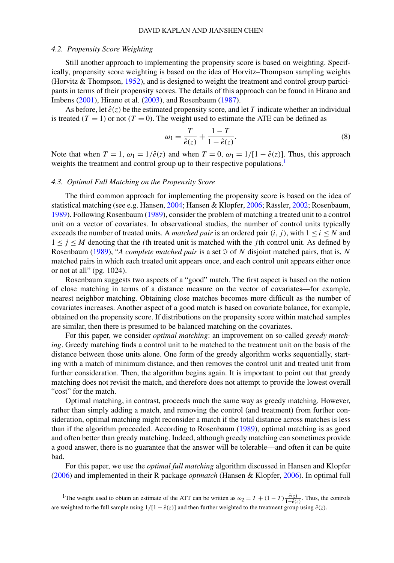## *4.2. Propensity Score Weighting*

Still another approach to implementing the propensity score is based on weighting. Specifically, propensity score weighting is based on the idea of Horvitz–Thompson sampling weights (Horvitz & Thompson, [1952\)](#page-27-13), and is designed to weight the treatment and control group participants in terms of their propensity scores. The details of this approach can be found in Hirano and Imbens ([2001\)](#page-27-14), Hirano et al. [\(2003](#page-27-2)), and Rosenbaum [\(1987](#page-28-9)).

As before, let  $\hat{e}(z)$  be the estimated propensity score, and let *T* indicate whether an individual is treated  $(T = 1)$  or not  $(T = 0)$ . The weight used to estimate the ATE can be defined as

$$
\omega_1 = \frac{T}{\hat{e}(z)} + \frac{1 - T}{1 - \hat{e}(z)}.\tag{8}
$$

Note that when  $T = 1$ ,  $\omega_1 = 1/\hat{e}(z)$  and when  $T = 0$ ,  $\omega_1 = 1/[1 - \hat{e}(z)]$ . Thus, this approach weights the treatment and control group up to their respective populations.<sup>1</sup>

## *4.3. Optimal Full Matching on the Propensity Score*

The third common approach for implementing the propensity score is based on the idea of statistical matching (see e.g. Hansen, [2004](#page-27-15); Hansen & Klopfer, [2006](#page-27-16); Rässler, [2002;](#page-27-0) Rosenbaum, [1989\)](#page-28-10). Following Rosenbaum [\(1989](#page-28-10)), consider the problem of matching a treated unit to a control unit on a vector of covariates. In observational studies, the number of control units typically exceeds the number of treated units. A *matched pair* is an ordered pair  $(i, j)$ , with  $1 \le i \le N$  and  $1 \leq j \leq M$  denoting that the *i*th treated unit is matched with the *j*th control unit. As defined by Rosenbaum ([1989\)](#page-28-10), "*A complete matched pair* is a set  $\Im$  of *N* disjoint matched pairs, that is, *N* matched pairs in which each treated unit appears once, and each control unit appears either once or not at all" (pg. 1024).

Rosenbaum suggests two aspects of a "good" match. The first aspect is based on the notion of close matching in terms of a distance measure on the vector of covariates—for example, nearest neighbor matching. Obtaining close matches becomes more difficult as the number of covariates increases. Another aspect of a good match is based on covariate balance, for example, obtained on the propensity score. If distributions on the propensity score within matched samples are similar, then there is presumed to be balanced matching on the covariates.

For this paper, we consider *optimal matching*: an improvement on so-called *greedy matching*. Greedy matching finds a control unit to be matched to the treatment unit on the basis of the distance between those units alone. One form of the greedy algorithm works sequentially, starting with a match of minimum distance, and then removes the control unit and treated unit from further consideration. Then, the algorithm begins again. It is important to point out that greedy matching does not revisit the match, and therefore does not attempt to provide the lowest overall "cost" for the match.

<span id="page-4-0"></span>Optimal matching, in contrast, proceeds much the same way as greedy matching. However, rather than simply adding a match, and removing the control (and treatment) from further consideration, optimal matching might reconsider a match if the total distance across matches is less than if the algorithm proceeded. According to Rosenbaum [\(1989\)](#page-28-10), optimal matching is as good and often better than greedy matching. Indeed, although greedy matching can sometimes provide a good answer, there is no guarantee that the answer will be tolerable—and often it can be quite bad.

For this paper, we use the *optimal full matching* algorithm discussed in Hansen and Klopfer [\(2006\)](#page-27-16) and implemented in their R package *optmatch* (Hansen & Klopfer, [2006\)](#page-27-16). In optimal full

<sup>1</sup>The weight used to obtain an estimate of the ATT can be written as  $\omega_2 = T + (1 - T) \frac{\hat{e}(z)}{1 - \hat{e}(z)}$ . Thus, the controls are weighted to the full sample using  $1/[1 - \hat{e}(z)]$  and then further weighted to the treatment group using  $\hat{e}(z)$ .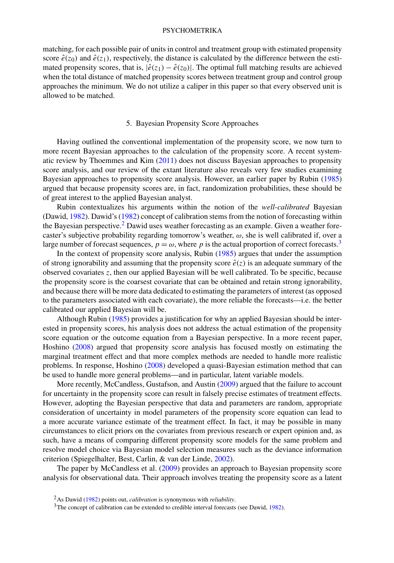matching, for each possible pair of units in control and treatment group with estimated propensity score  $\hat{e}(z_0)$  and  $\hat{e}(z_1)$ , respectively, the distance is calculated by the difference between the estimated propensity scores, that is,  $|\hat{e}(z_1) - \hat{e}(z_0)|$ . The optimal full matching results are achieved when the total distance of matched propensity scores between treatment group and control group approaches the minimum. We do not utilize a caliper in this paper so that every observed unit is allowed to be matched.

# 5. Bayesian Propensity Score Approaches

Having outlined the conventional implementation of the propensity score, we now turn to more recent Bayesian approaches to the calculation of the propensity score. A recent systematic review by Thoemmes and Kim ([2011\)](#page-28-4) does not discuss Bayesian approaches to propensity score analysis, and our review of the extant literature also reveals very few studies examining Bayesian approaches to propensity score analysis. However, an earlier paper by Rubin [\(1985](#page-28-11)) argued that because propensity scores are, in fact, randomization probabilities, these should be of great interest to the applied Bayesian analyst.

Rubin contextualizes his arguments within the notion of the *well-calibrated* Bayesian (Dawid, [1982\)](#page-27-17). Dawid's ([1982\)](#page-27-17) concept of calibration stems from the notion of forecasting within the Bayesian perspective.[2](#page-5-0) Dawid uses weather forecasting as an example. Given a weather forecaster's subjective probability regarding tomorrow's weather, *ω*, she is well calibrated if, over a large number of forecast sequences,  $p = \omega$ , where p is the actual proportion of correct forecasts.<sup>3</sup>

In the context of propensity score analysis, Rubin ([1985\)](#page-28-11) argues that under the assumption of strong ignorability and assuming that the propensity score  $\hat{e}(z)$  is an adequate summary of the observed covariates *z*, then our applied Bayesian will be well calibrated. To be specific, because the propensity score is the coarsest covariate that can be obtained and retain strong ignorability, and because there will be more data dedicated to estimating the parameters of interest (as opposed to the parameters associated with each covariate), the more reliable the forecasts—i.e. the better calibrated our applied Bayesian will be.

Although Rubin ([1985](#page-28-11)) provides a justification for why an applied Bayesian should be interested in propensity scores, his analysis does not address the actual estimation of the propensity score equation or the outcome equation from a Bayesian perspective. In a more recent paper, Hoshino [\(2008\)](#page-27-18) argued that propensity score analysis has focused mostly on estimating the marginal treatment effect and that more complex methods are needed to handle more realistic problems. In response, Hoshino [\(2008](#page-27-18)) developed a quasi-Bayesian estimation method that can be used to handle more general problems—and in particular, latent variable models.

More recently, McCandless, Gustafson, and Austin [\(2009](#page-27-19)) argued that the failure to account for uncertainty in the propensity score can result in falsely precise estimates of treatment effects. However, adopting the Bayesian perspective that data and parameters are random, appropriate consideration of uncertainty in model parameters of the propensity score equation can lead to a more accurate variance estimate of the treatment effect. In fact, it may be possible in many circumstances to elicit priors on the covariates from previous research or expert opinion and, as such, have a means of comparing different propensity score models for the same problem and resolve model choice via Bayesian model selection measures such as the deviance information criterion (Spiegelhalter, Best, Carlin, & van der Linde, [2002](#page-28-12)).

<span id="page-5-1"></span><span id="page-5-0"></span>The paper by McCandless et al. ([2009\)](#page-27-19) provides an approach to Bayesian propensity score analysis for observational data. Their approach involves treating the propensity score as a latent

<sup>2</sup>As Dawid [\(1982](#page-27-17)) points out, *calibration* is synonymous with *reliability*.

<sup>&</sup>lt;sup>3</sup>The concept of calibration can be extended to credible interval forecasts (see Dawid, [1982](#page-27-17)).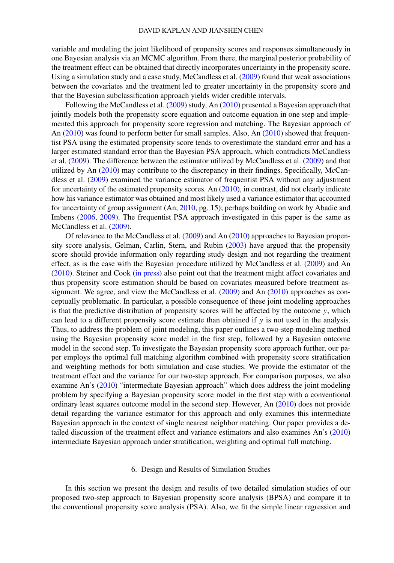variable and modeling the joint likelihood of propensity scores and responses simultaneously in one Bayesian analysis via an MCMC algorithm. From there, the marginal posterior probability of the treatment effect can be obtained that directly incorporates uncertainty in the propensity score. Using a simulation study and a case study, McCandless et al. [\(2009](#page-27-19)) found that weak associations between the covariates and the treatment led to greater uncertainty in the propensity score and that the Bayesian subclassification approach yields wider credible intervals.

Following the McCandless et al. [\(2009\)](#page-27-19) study, An [\(2010](#page-27-20)) presented a Bayesian approach that jointly models both the propensity score equation and outcome equation in one step and implemented this approach for propensity score regression and matching. The Bayesian approach of An ([2010\)](#page-27-20) was found to perform better for small samples. Also, An [\(2010\)](#page-27-20) showed that frequentist PSA using the estimated propensity score tends to overestimate the standard error and has a larger estimated standard error than the Bayesian PSA approach, which contradicts McCandless et al. ([2009\)](#page-27-19). The difference between the estimator utilized by McCandless et al. ([2009\)](#page-27-19) and that utilized by An ([2010\)](#page-27-20) may contribute to the discrepancy in their findings. Specifically, McCandless et al. [\(2009](#page-27-19)) examined the variance estimator of frequentist PSA without any adjustment for uncertainty of the estimated propensity scores. An [\(2010](#page-27-20)), in contrast, did not clearly indicate how his variance estimator was obtained and most likely used a variance estimator that accounted for uncertainty of group assignment (An, [2010,](#page-27-20) pg. 15); perhaps building on work by Abadie and Imbens ([2006,](#page-27-4) [2009\)](#page-27-5). The frequentist PSA approach investigated in this paper is the same as McCandless et al. ([2009\)](#page-27-19).

Of relevance to the McCandless et al. ([2009](#page-27-19)) and An [\(2010](#page-27-20)) approaches to Bayesian propensity score analysis, Gelman, Carlin, Stern, and Rubin [\(2003](#page-27-21)) have argued that the propensity score should provide information only regarding study design and not regarding the treatment effect, as is the case with the Bayesian procedure utilized by McCandless et al. ([2009](#page-27-19)) and An [\(2010\)](#page-27-20). Steiner and Cook [\(in press\)](#page-28-3) also point out that the treatment might affect covariates and thus propensity score estimation should be based on covariates measured before treatment assignment. We agree, and view the McCandless et al. [\(2009](#page-27-19)) and An [\(2010](#page-27-20)) approaches as conceptually problematic. In particular, a possible consequence of these joint modeling approaches is that the predictive distribution of propensity scores will be affected by the outcome *y*, which can lead to a different propensity score estimate than obtained if *y* is not used in the analysis. Thus, to address the problem of joint modeling, this paper outlines a two-step modeling method using the Bayesian propensity score model in the first step, followed by a Bayesian outcome model in the second step. To investigate the Bayesian propensity score approach further, our paper employs the optimal full matching algorithm combined with propensity score stratification and weighting methods for both simulation and case studies. We provide the estimator of the treatment effect and the variance for our two-step approach. For comparison purposes, we also examine An's [\(2010](#page-27-20)) "intermediate Bayesian approach" which does address the joint modeling problem by specifying a Bayesian propensity score model in the first step with a conventional ordinary least squares outcome model in the second step. However, An ([2010\)](#page-27-20) does not provide detail regarding the variance estimator for this approach and only examines this intermediate Bayesian approach in the context of single nearest neighbor matching. Our paper provides a detailed discussion of the treatment effect and variance estimators and also examines An's [\(2010](#page-27-20)) intermediate Bayesian approach under stratification, weighting and optimal full matching.

## 6. Design and Results of Simulation Studies

In this section we present the design and results of two detailed simulation studies of our proposed two-step approach to Bayesian propensity score analysis (BPSA) and compare it to the conventional propensity score analysis (PSA). Also, we fit the simple linear regression and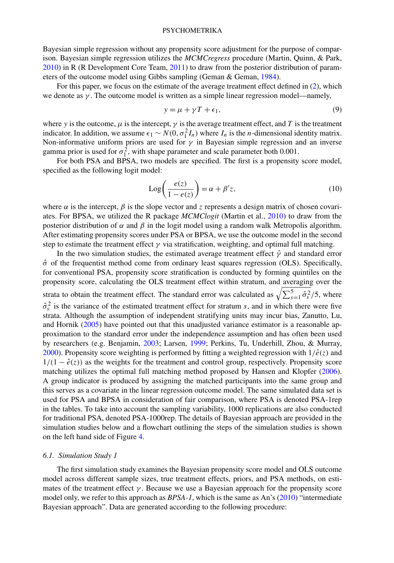<span id="page-7-0"></span>Bayesian simple regression without any propensity score adjustment for the purpose of comparison. Bayesian simple regression utilizes the *MCMCregress* procedure (Martin, Quinn, & Park, [2010\)](#page-27-22) in R (R Development Core Team, [2011](#page-27-23)) to draw from the posterior distribution of parameters of the outcome model using Gibbs sampling (Geman & Geman, [1984\)](#page-27-24).

For this paper, we focus on the estimate of the average treatment effect defined in ([2\)](#page-2-0), which we denote as  $\gamma$ . The outcome model is written as a simple linear regression model—namely,

$$
y = \mu + \gamma T + \epsilon_1,\tag{9}
$$

where *y* is the outcome,  $\mu$  is the intercept,  $\gamma$  is the average treatment effect, and *T* is the treatment indicator. In addition, we assume  $\epsilon_1 \sim N(0, \sigma_1^2 I_n)$  where  $I_n$  is the *n*-dimensional identity matrix. Non-informative uniform priors are used for  $\gamma$  in Bayesian simple regression and an inverse gamma prior is used for  $\sigma_1^2$ , with shape parameter and scale parameter both 0.001.

For both PSA and BPSA, two models are specified. The first is a propensity score model, specified as the following logit model:

$$
Log\left(\frac{e(z)}{1 - e(z)}\right) = \alpha + \beta' z,\tag{10}
$$

where  $\alpha$  is the intercept,  $\beta$  is the slope vector and *z* represents a design matrix of chosen covariates. For BPSA, we utilized the R package *MCMClogit* (Martin et al., [2010](#page-27-22)) to draw from the posterior distribution of  $\alpha$  and  $\beta$  in the logit model using a random walk Metropolis algorithm. After estimating propensity scores under PSA or BPSA, we use the outcome model in the second step to estimate the treatment effect  $\gamma$  via stratification, weighting, and optimal full matching.

In the two simulation studies, the estimated average treatment effect  $\hat{\gamma}$  and standard error  $\hat{\sigma}$  of the frequentist method come from ordinary least squares regression (OLS). Specifically, for conventional PSA, propensity score stratification is conducted by forming quintiles on the propensity score, calculating the OLS treatment effect within stratum, and averaging over the strata to obtain the treatment effect. The standard error was calculated as  $\sqrt{\sum_{s=1}^{5} \hat{\sigma}_s^2/5}$ , where  $\hat{\sigma}_s^2$  is the variance of the estimated treatment effect for stratum *s*, and in which there were five strata. Although the assumption of independent stratifying units may incur bias, Zanutto, Lu, and Hornik ([2005\)](#page-28-13) have pointed out that this unadjusted variance estimator is a reasonable approximation to the standard error under the independence assumption and has often been used by researchers (e.g. Benjamin, [2003](#page-27-25); Larsen, [1999](#page-27-26); Perkins, Tu, Underhill, Zhou, & Murray, [2000\)](#page-27-27). Propensity score weighting is performed by fitting a weighted regression with  $1/\hat{e}(z)$  and  $1/(1 - \hat{e}(z))$  as the weights for the treatment and control group, respectively. Propensity score matching utilizes the optimal full matching method proposed by Hansen and Klopfer ([2006\)](#page-27-16). A group indicator is produced by assigning the matched participants into the same group and this serves as a covariate in the linear regression outcome model. The same simulated data set is used for PSA and BPSA in consideration of fair comparison, where PSA is denoted PSA-1rep in the tables. To take into account the sampling variability, 1000 replications are also conducted for traditional PSA, denoted PSA-1000rep. The details of Bayesian approach are provided in the simulation studies below and a flowchart outlining the steps of the simulation studies is shown on the left hand side of Figure [4](#page-24-0).

## *6.1. Simulation Study 1*

The first simulation study examines the Bayesian propensity score model and OLS outcome model across different sample sizes, true treatment effects, priors, and PSA methods, on estimates of the treatment effect  $\gamma$ . Because we use a Bayesian approach for the propensity score model only, we refer to this approach as *BPSA-1*, which is the same as An's ([2010\)](#page-27-20) "intermediate Bayesian approach". Data are generated according to the following procedure: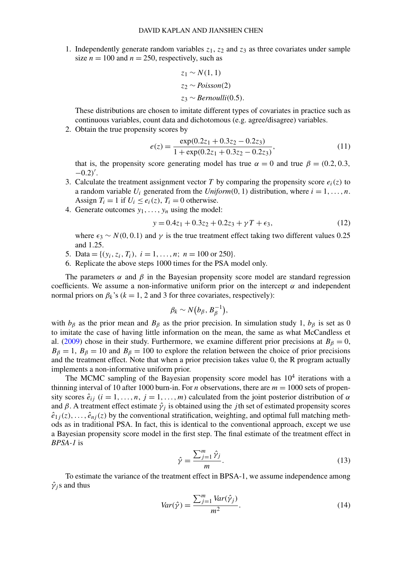1. Independently generate random variables  $z_1$ ,  $z_2$  and  $z_3$  as three covariates under sample size  $n = 100$  and  $n = 250$ , respectively, such as

$$
z_1 \sim N(1, 1)
$$
  
\n
$$
z_2 \sim Poisson(2)
$$
  
\n
$$
z_3 \sim Bernoulli(0.5).
$$

These distributions are chosen to imitate different types of covariates in practice such as continuous variables, count data and dichotomous (e.g. agree/disagree) variables.

2. Obtain the true propensity scores by

$$
e(z) = \frac{\exp(0.2z_1 + 0.3z_2 - 0.2z_3)}{1 + \exp(0.2z_1 + 0.3z_2 - 0.2z_3)},
$$
\n(11)

that is, the propensity score generating model has true  $\alpha = 0$  and true  $\beta = (0.2, 0.3,$ −0*.*2*)* .

- 3. Calculate the treatment assignment vector *T* by comparing the propensity score  $e_i(z)$  to a random variable  $U_i$  generated from the *Uniform* $(0, 1)$  distribution, where  $i = 1, \ldots, n$ . Assign  $T_i = 1$  if  $U_i \leq e_i(z)$ ,  $T_i = 0$  otherwise.
- 4. Generate outcomes  $y_1, \ldots, y_n$  using the model:

$$
y = 0.4z_1 + 0.3z_2 + 0.2z_3 + \gamma T + \epsilon_3, \tag{12}
$$

where  $\epsilon_3 \sim N(0, 0.1)$  and  $\gamma$  is the true treatment effect taking two different values 0.25 and 1.25.

- 5. Data = { $(y_i, z_i, T_i)$ ,  $i = 1, ..., n$ ;  $n = 100$  or 250}.
- 6. Replicate the above steps 1000 times for the PSA model only.

The parameters  $\alpha$  and  $\beta$  in the Bayesian propensity score model are standard regression coefficients. We assume a non-informative uniform prior on the intercept  $\alpha$  and independent normal priors on  $\beta_k$ 's ( $k = 1, 2$  and 3 for three covariates, respectively):

$$
\beta_k \sim N(b_\beta, B_\beta^{-1}),
$$

with  $b_\beta$  as the prior mean and  $B_\beta$  as the prior precision. In simulation study 1,  $b_\beta$  is set as 0 to imitate the case of having little information on the mean, the same as what McCandless et al. [\(2009\)](#page-27-19) chose in their study. Furthermore, we examine different prior precisions at  $B_\beta = 0$ ,  $B_\beta = 1$ ,  $B_\beta = 10$  and  $B_\beta = 100$  to explore the relation between the choice of prior precisions and the treatment effect. Note that when a prior precision takes value 0, the R program actually implements a non-informative uniform prior.

The MCMC sampling of the Bayesian propensity score model has  $10<sup>4</sup>$  iterations with a thinning interval of 10 after 1000 burn-in. For *n* observations, there are  $m = 1000$  sets of propensity scores  $\hat{e}_{ij}$  ( $i = 1, \ldots, n$ ,  $j = 1, \ldots, m$ ) calculated from the joint posterior distribution of  $\alpha$ and  $\beta$ . A treatment effect estimate  $\hat{\gamma}_j$  is obtained using the *j* th set of estimated propensity scores  $\hat{e}_{1j}(z),..., \hat{e}_{nj}(z)$  by the conventional stratification, weighting, and optimal full matching methods as in traditional PSA. In fact, this is identical to the conventional approach, except we use a Bayesian propensity score model in the first step. The final estimate of the treatment effect in *BPSA-1* is

$$
\hat{\gamma} = \frac{\sum_{j=1}^{m} \hat{\gamma}_j}{m}.
$$
\n(13)

To estimate the variance of the treatment effect in BPSA-1, we assume independence among  $\hat{\gamma}$ <sub>*j*</sub> s and thus

$$
Var(\hat{\gamma}) = \frac{\sum_{j=1}^{m} Var(\hat{\gamma}_j)}{m^2}.
$$
\n(14)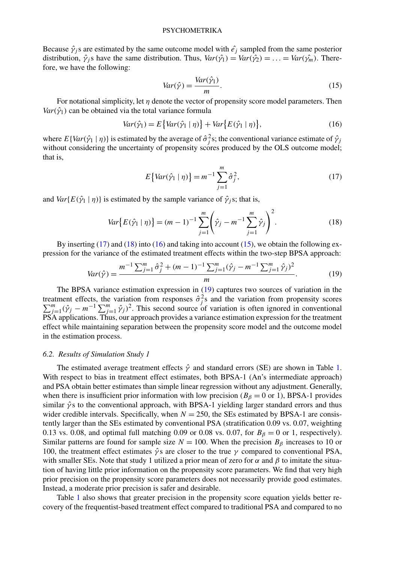<span id="page-9-3"></span><span id="page-9-2"></span>Because  $\hat{\gamma}_j$  s are estimated by the same outcome model with  $\hat{e}_j$  sampled from the same posterior distribution,  $\hat{\gamma}_j$ s have the same distribution. Thus,  $Var(\hat{\gamma}_1) = Var(\hat{\gamma}_2) = \ldots = Var(\hat{\gamma}_m)$ . Therefore, we have the following:

$$
Var(\hat{\gamma}) = \frac{Var(\hat{\gamma}_1)}{m}.
$$
\n(15)

For notational simplicity, let *η* denote the vector of propensity score model parameters. Then  $Var(\hat{\gamma}_1)$  can be obtained via the total variance formula

<span id="page-9-0"></span>
$$
Var(\hat{\gamma}_1) = E\{Var(\hat{\gamma}_1 \mid \eta)\} + Var\{E(\hat{\gamma}_1 \mid \eta)\},\tag{16}
$$

<span id="page-9-1"></span>where  $E\{Var(\hat{y}_1 | \eta)\}\$ is estimated by the average of  $\hat{\sigma}_j^2$ s; the conventional variance estimate of  $\hat{y}_j$ without considering the uncertainty of propensity scores produced by the OLS outcome model; that is,

$$
E\{Var(\hat{\gamma}_1 \mid \eta)\} = m^{-1} \sum_{j=1}^{m} \hat{\sigma}_j^2,
$$
 (17)

<span id="page-9-4"></span>and *Var*{ $E(\hat{\gamma}_1 | \eta)$ } is estimated by the sample variance of  $\hat{\gamma}_i$ s; that is,

$$
Var\{E(\hat{\gamma}_1 \mid \eta)\} = (m-1)^{-1} \sum_{j=1}^{m} \left(\hat{\gamma}_j - m^{-1} \sum_{j=1}^{m} \hat{\gamma}_j\right)^2.
$$
 (18)

By inserting  $(17)$  $(17)$  and  $(18)$  $(18)$  into  $(16)$  $(16)$  and taking into account  $(15)$  $(15)$ , we obtain the following expression for the variance of the estimated treatment effects within the two-step BPSA approach:

$$
Var(\hat{\gamma}) = \frac{m^{-1} \sum_{j=1}^{m} \hat{\sigma}_j^2 + (m-1)^{-1} \sum_{j=1}^{m} (\hat{\gamma}_j - m^{-1} \sum_{j=1}^{m} \hat{\gamma}_j)^2}{m}.
$$
 (19)

The BPSA variance estimation expression in ([19\)](#page-9-4) captures two sources of variation in the treatment effects, the variation from responses  $\hat{\sigma}_j^2$ s and the variation from propensity scores  $\sum_{j=1}^m (\hat{\gamma}_j - m^{-1} \sum_{j=1}^m \hat{\gamma}_j)^2$ . This second source of variation is often ignored in conventional PSA applications. Thus, our approach provides a variance estimation expression for the treatment effect while maintaining separation between the propensity score model and the outcome model in the estimation process.

## *6.2. Results of Simulation Study 1*

The estimated average treatment effects  $\hat{\gamma}$  and standard errors (SE) are shown in Table [1.](#page-10-0) With respect to bias in treatment effect estimates, both BPSA-1 (An's intermediate approach) and PSA obtain better estimates than simple linear regression without any adjustment. Generally, when there is insufficient prior information with low precision ( $B_\beta = 0$  or 1), BPSA-1 provides similar  $\hat{\gamma}$ s to the conventional approach, with BPSA-1 yielding larger standard errors and thus wider credible intervals. Specifically, when  $N = 250$ , the SEs estimated by BPSA-1 are consistently larger than the SEs estimated by conventional PSA (stratification 0.09 vs. 0.07, weighting 0.13 vs. 0.08, and optimal full matching 0.09 or 0.08 vs. 0.07, for  $B_\beta = 0$  or 1, respectively). Similar patterns are found for sample size  $N = 100$ . When the precision  $B_\beta$  increases to 10 or 100, the treatment effect estimates  $\hat{\gamma}$ s are closer to the true  $\gamma$  compared to conventional PSA, with smaller SEs. Note that study 1 utilized a prior mean of zero for  $\alpha$  and  $\beta$  to imitate the situation of having little prior information on the propensity score parameters. We find that very high prior precision on the propensity score parameters does not necessarily provide good estimates. Instead, a moderate prior precision is safer and desirable.

Table [1](#page-10-0) also shows that greater precision in the propensity score equation yields better recovery of the frequentist-based treatment effect compared to traditional PSA and compared to no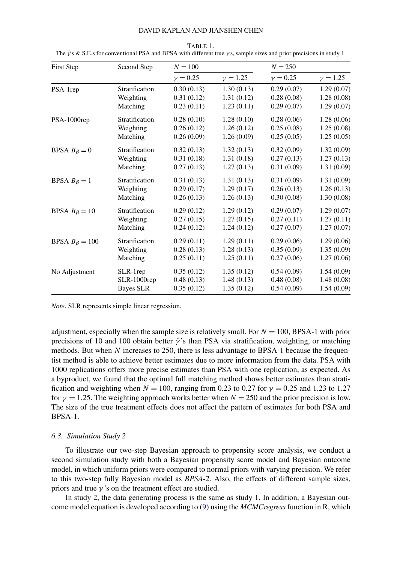| <b>First Step</b>    | Second Step                 | $N = 100$                |                          | $N = 250$                |                          |
|----------------------|-----------------------------|--------------------------|--------------------------|--------------------------|--------------------------|
|                      |                             | $\gamma = 0.25$          | $\gamma = 1.25$          | $\gamma = 0.25$          | $\gamma = 1.25$          |
| PSA-1rep             | Stratification<br>Weighting | 0.30(0.13)<br>0.31(0.12) | 1.30(0.13)<br>1.31(0.12) | 0.29(0.07)<br>0.28(0.08) | 1.29(0.07)<br>1.28(0.08) |
|                      | Matching                    | 0.23(0.11)               | 1.23(0.11)               | 0.29(0.07)               | 1.29(0.07)               |
| PSA-1000rep          | Stratification              | 0.28(0.10)               | 1.28(0.10)               | 0.28(0.06)               | 1.28(0.06)               |
|                      | Weighting<br>Matching       | 0.26(0.12)<br>0.26(0.09) | 1.26(0.12)<br>1.26(0.09) | 0.25(0.08)<br>0.25(0.05) | 1.25(0.08)<br>1.25(0.05) |
| BPSA $B_\beta = 0$   | Stratification              | 0.32(0.13)               | 1.32(0.13)               | 0.32(0.09)               | 1.32(0.09)               |
|                      | Weighting                   | 0.31(0.18)               | 1.31(0.18)               | 0.27(0.13)               | 1.27(0.13)               |
|                      | Matching                    | 0.27(0.13)               | 1.27(0.13)               | 0.31(0.09)               | 1.31(0.09)               |
| BPSA $B_\beta = 1$   | Stratification              | 0.31(0.13)               | 1.31(0.13)               | 0.31(0.09)               | 1.31(0.09)               |
|                      | Weighting                   | 0.29(0.17)               | 1.29(0.17)               | 0.26(0.13)               | 1.26(0.13)               |
|                      | Matching                    | 0.26(0.13)               | 1.26(0.13)               | 0.30(0.08)               | 1.30(0.08)               |
| BPSA $B_\beta = 10$  | Stratification              | 0.29(0.12)               | 1.29(0.12)               | 0.29(0.07)               | 1.29(0.07)               |
|                      | Weighting                   | 0.27(0.15)               | 1.27(0.15)               | 0.27(0.11)               | 1.27(0.11)               |
|                      | Matching                    | 0.24(0.12)               | 1.24(0.12)               | 0.27(0.07)               | 1.27(0.07)               |
| BPSA $B_\beta = 100$ | Stratification              | 0.29(0.11)               | 1.29(0.11)               | 0.29(0.06)               | 1.29(0.06)               |
|                      | Weighting                   | 0.28(0.13)               | 1.28(0.13)               | 0.35(0.09)               | 1.35(0.09)               |
|                      | Matching                    | 0.25(0.11)               | 1.25(0.11)               | 0.27(0.06)               | 1.27(0.06)               |
| No Adjustment        | SLR-1rep                    | 0.35(0.12)               | 1.35(0.12)               | 0.54(0.09)               | 1.54(0.09)               |
|                      | SLR-1000rep                 | 0.48(0.13)               | 1.48(0.13)               | 0.48(0.08)               | 1.48(0.08)               |
|                      | <b>Bayes SLR</b>            | 0.35(0.12)               | 1.35(0.12)               | 0.54(0.09)               | 1.54(0.09)               |

<span id="page-10-0"></span>

| TABLE 1.                                                                                                                                 |  |
|------------------------------------------------------------------------------------------------------------------------------------------|--|
| The $\hat{\gamma}$ s & S.E.s for conventional PSA and BPSA with different true $\gamma$ s, sample sizes and prior precisions in study 1. |  |

*Note*. SLR represents simple linear regression.

adjustment, especially when the sample size is relatively small. For  $N = 100$ , BPSA-1 with prior precisions of 10 and 100 obtain better *γ*ˆ's than PSA via stratification, weighting, or matching methods. But when *N* increases to 250, there is less advantage to BPSA-1 because the frequentist method is able to achieve better estimates due to more information from the data. PSA with 1000 replications offers more precise estimates than PSA with one replication, as expected. As a byproduct, we found that the optimal full matching method shows better estimates than stratification and weighting when  $N = 100$ , ranging from 0.23 to 0.27 for  $\gamma = 0.25$  and 1.23 to 1.27 for  $\gamma = 1.25$ . The weighting approach works better when  $N = 250$  and the prior precision is low. The size of the true treatment effects does not affect the pattern of estimates for both PSA and BPSA-1.

# *6.3. Simulation Study 2*

To illustrate our two-step Bayesian approach to propensity score analysis, we conduct a second simulation study with both a Bayesian propensity score model and Bayesian outcome model, in which uniform priors were compared to normal priors with varying precision. We refer to this two-step fully Bayesian model as *BPSA-2*. Also, the effects of different sample sizes, priors and true *γ* 's on the treatment effect are studied.

In study 2, the data generating process is the same as study 1. In addition, a Bayesian outcome model equation is developed according to ([9\)](#page-7-0) using the *MCMCregress* function in R, which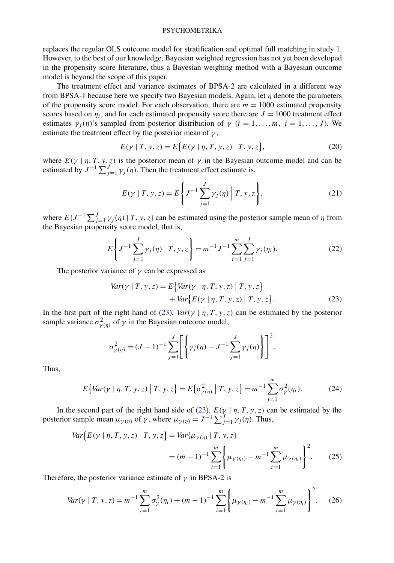replaces the regular OLS outcome model for stratification and optimal full matching in study 1. However, to the best of our knowledge, Bayesian weighted regression has not yet been developed in the propensity score literature, thus a Bayesian weighing method with a Bayesian outcome model is beyond the scope of this paper.

The treatment effect and variance estimates of BPSA-2 are calculated in a different way from BPSA-1 because here we specify two Bayesian models. Again, let *η* denote the parameters of the propensity score model. For each observation, there are  $m = 1000$  estimated propensity scores based on  $\eta_i$ , and for each estimated propensity score there are  $J = 1000$  treatment effect estimates  $\gamma_i(\eta)$ 's sampled from posterior distribution of  $\gamma$  ( $i = 1, \ldots, m, j = 1, \ldots, J$ ). We estimate the treatment effect by the posterior mean of  $\gamma$ ,

$$
E(\gamma | T, y, z) = E\{E(\gamma | \eta, T, y, z) | T, y, z\},\tag{20}
$$

where  $E(\gamma | \eta, T, y, z)$  is the posterior mean of  $\gamma$  in the Bayesian outcome model and can be estimated by  $J^{-1} \sum_{j=1}^{J} \gamma_j(\eta)$ . Then the treatment effect estimate is,

$$
E(\gamma | T, y, z) = E\left\{ J^{-1} \sum_{j=1}^{J} \gamma_j(\eta) | T, y, z \right\},
$$
 (21)

<span id="page-11-0"></span>where  $E\{J^{-1}\sum_{j=1}^{J}\gamma_j(\eta) | T, y, z\}$  can be estimated using the posterior sample mean of  $\eta$  from the Bayesian propensity score model, that is,

$$
E\left\{J^{-1}\sum_{j=1}^{J}\gamma_{j}(\eta)\bigg|T,y,z\right\}=m^{-1}J^{-1}\sum_{i=1}^{m}\sum_{j=1}^{J}\gamma_{j}(\eta_{i}).
$$
\n(22)

The posterior variance of  $\gamma$  can be expressed as

$$
Var(\gamma | T, y, z) = E\{Var(\gamma | \eta, T, y, z) | T, y, z\} + Var\{E(\gamma | \eta, T, y, z) | T, y, z\}.
$$
\n(23)

In the first part of the right hand of ([23\)](#page-11-0),  $Var(\gamma | \eta, T, y, z)$  can be estimated by the posterior sample variance  $\sigma_{\gamma(\eta)}^2$  of  $\gamma$  in the Bayesian outcome model,

$$
\sigma_{\gamma(\eta)}^2 = (J-1)^{-1} \sum_{j=1}^J \left[ \left\{ \gamma_j(\eta) - J^{-1} \sum_{j=1}^J \gamma_j(\eta) \right\} \right]^2.
$$

Thus,

$$
E\big\{Var(\gamma \mid \eta, T, y, z) \mid T, y, z\big\} = E\big\{\sigma_{\gamma(\eta)}^2 \mid T, y, z\big\} = m^{-1} \sum_{i=1}^m \sigma_{\gamma}^2(\eta_i). \tag{24}
$$

<span id="page-11-1"></span>In the second part of the right hand side of ([23\)](#page-11-0),  $E(\gamma | \eta, T, y, z)$  can be estimated by the posterior sample mean  $\mu_{\gamma(\eta)}$  of  $\gamma$ , where  $\mu_{\gamma(\eta)} = J^{-1} \sum_{j=1}^{J} \gamma_j(\eta)$ . Thus,

$$
Var\{E(\gamma \mid \eta, T, y, z) \mid T, y, z\} = Var\{\mu_{\gamma(\eta)} \mid T, y, z\}
$$
  
=  $(m - 1)^{-1} \sum_{i=1}^{m} \left\{\mu_{\gamma(\eta_i)} - m^{-1} \sum_{i=1}^{m} \mu_{\gamma(\eta_i)}\right\}^2$ . (25)

Therefore, the posterior variance estimate of *γ* in BPSA-2 is

$$
Var(\gamma \mid T, y, z) = m^{-1} \sum_{i=1}^{m} \sigma_{\gamma}^{2}(\eta_{i}) + (m - 1)^{-1} \sum_{i=1}^{m} \left\{ \mu_{\gamma(\eta_{i})} - m^{-1} \sum_{i=1}^{m} \mu_{\gamma(\eta_{i})} \right\}^{2}.
$$
 (26)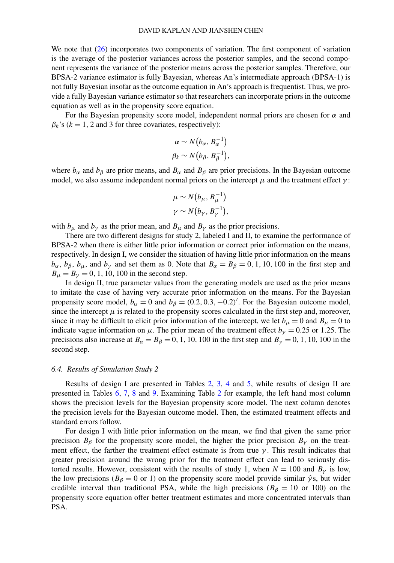We note that  $(26)$  $(26)$  incorporates two components of variation. The first component of variation is the average of the posterior variances across the posterior samples, and the second component represents the variance of the posterior means across the posterior samples. Therefore, our BPSA-2 variance estimator is fully Bayesian, whereas An's intermediate approach (BPSA-1) is not fully Bayesian insofar as the outcome equation in An's approach is frequentist. Thus, we provide a fully Bayesian variance estimator so that researchers can incorporate priors in the outcome equation as well as in the propensity score equation.

For the Bayesian propensity score model, independent normal priors are chosen for *α* and  $\beta_k$ 's ( $k = 1, 2$  and 3 for three covariates, respectively):

$$
\alpha \sim N(b_{\alpha}, B_{\alpha}^{-1})
$$
  

$$
\beta_k \sim N(b_{\beta}, B_{\beta}^{-1}),
$$

where  $b_{\alpha}$  and  $b_{\beta}$  are prior means, and  $B_{\alpha}$  and  $B_{\beta}$  are prior precisions. In the Bayesian outcome model, we also assume independent normal priors on the intercept  $\mu$  and the treatment effect  $\gamma$ :

$$
\mu \sim N(b_{\mu}, B_{\mu}^{-1})
$$
  

$$
\gamma \sim N(b_{\gamma}, B_{\gamma}^{-1}),
$$

with  $b_{\mu}$  and  $b_{\gamma}$  as the prior mean, and  $B_{\mu}$  and  $B_{\gamma}$  as the prior precisions.

There are two different designs for study 2, labeled I and II, to examine the performance of BPSA-2 when there is either little prior information or correct prior information on the means, respectively. In design I, we consider the situation of having little prior information on the means *b<sub>α</sub>*, *b<sub>β</sub>*, *b<sub>μ</sub>*, and *b<sub>γ</sub>* and set them as 0. Note that  $B_\alpha = B_\beta = 0, 1, 10, 100$  in the first step and  $B_{\mu} = B_{\nu} = 0, 1, 10, 100$  in the second step.

In design II, true parameter values from the generating models are used as the prior means to imitate the case of having very accurate prior information on the means. For the Bayesian propensity score model,  $b_{\alpha} = 0$  and  $b_{\beta} = (0.2, 0.3, -0.2)^{\prime}$ . For the Bayesian outcome model, since the intercept  $\mu$  is related to the propensity scores calculated in the first step and, moreover, since it may be difficult to elicit prior information of the intercept, we let  $b_\mu = 0$  and  $B_\mu = 0$  to indicate vague information on  $\mu$ . The prior mean of the treatment effect  $b_{\gamma} = 0.25$  or 1.25. The precisions also increase at  $B_\alpha = B_\beta = 0, 1, 10, 100$  in the first step and  $B_\gamma = 0, 1, 10, 100$  in the second step.

## *6.4. Results of Simulation Study 2*

Results of design I are presented in Tables [2,](#page-13-0) [3](#page-13-1), [4](#page-14-0) and [5,](#page-14-1) while results of design II are presented in Tables [6](#page-15-0), [7](#page-15-1), [8](#page-16-0) and [9](#page-16-1). Examining Table [2](#page-13-0) for example, the left hand most column shows the precision levels for the Bayesian propensity score model. The next column denotes the precision levels for the Bayesian outcome model. Then, the estimated treatment effects and standard errors follow.

For design I with little prior information on the mean, we find that given the same prior precision  $B_\beta$  for the propensity score model, the higher the prior precision  $B_\gamma$  on the treatment effect, the farther the treatment effect estimate is from true  $\gamma$ . This result indicates that greater precision around the wrong prior for the treatment effect can lead to seriously distorted results. However, consistent with the results of study 1, when  $N = 100$  and  $B<sub>y</sub>$  is low, the low precisions ( $B_\beta = 0$  or 1) on the propensity score model provide similar  $\hat{\gamma}$ s, but wider credible interval than traditional PSA, while the high precisions ( $B_\beta = 10$  or 100) on the propensity score equation offer better treatment estimates and more concentrated intervals than PSA.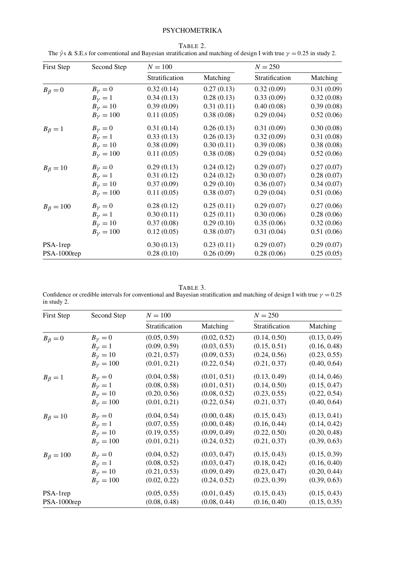| <b>First Step</b> | Second Step       | $N = 100$      |            | $N = 250$      |            |
|-------------------|-------------------|----------------|------------|----------------|------------|
|                   |                   | Stratification | Matching   | Stratification | Matching   |
| $B_{\beta}=0$     | $B_{\gamma}=0$    | 0.32(0.14)     | 0.27(0.13) | 0.32(0.09)     | 0.31(0.09) |
|                   | $B_{\nu}=1$       | 0.34(0.13)     | 0.28(0.13) | 0.33(0.09)     | 0.32(0.08) |
|                   | $B_{\gamma} = 10$ | 0.39(0.09)     | 0.31(0.11) | 0.40(0.08)     | 0.39(0.08) |
|                   | $B_{\nu} = 100$   | 0.11(0.05)     | 0.38(0.08) | 0.29(0.04)     | 0.52(0.06) |
| $B_{\beta}=1$     | $B_{\nu}=0$       | 0.31(0.14)     | 0.26(0.13) | 0.31(0.09)     | 0.30(0.08) |
|                   | $B_{\gamma}=1$    | 0.33(0.13)     | 0.26(0.13) | 0.32(0.09)     | 0.31(0.08) |
|                   | $B_{\gamma} = 10$ | 0.38(0.09)     | 0.30(0.11) | 0.39(0.08)     | 0.38(0.08) |
|                   | $B_{\nu} = 100$   | 0.11(0.05)     | 0.38(0.08) | 0.29(0.04)     | 0.52(0.06) |
| $B_{\beta}=10$    | $B_{\gamma}=0$    | 0.29(0.13)     | 0.24(0.12) | 0.29(0.07)     | 0.27(0.07) |
|                   | $B_{\gamma}=1$    | 0.31(0.12)     | 0.24(0.12) | 0.30(0.07)     | 0.28(0.07) |
|                   | $B_{\nu}=10$      | 0.37(0.09)     | 0.29(0.10) | 0.36(0.07)     | 0.34(0.07) |
|                   | $B_{\nu} = 100$   | 0.11(0.05)     | 0.38(0.07) | 0.29(0.04)     | 0.51(0.06) |
| $B_{\beta}=100$   | $B_{\gamma}=0$    | 0.28(0.12)     | 0.25(0.11) | 0.29(0.07)     | 0.27(0.06) |
|                   | $B_{\gamma}=1$    | 0.30(0.11)     | 0.25(0.11) | 0.30(0.06)     | 0.28(0.06) |
|                   | $B_{\nu}=10$      | 0.37(0.08)     | 0.29(0.10) | 0.35(0.06)     | 0.32(0.06) |
|                   | $B_{\nu} = 100$   | 0.12(0.05)     | 0.38(0.07) | 0.31(0.04)     | 0.51(0.06) |
| PSA-1rep          |                   | 0.30(0.13)     | 0.23(0.11) | 0.29(0.07)     | 0.29(0.07) |
| PSA-1000rep       |                   | 0.28(0.10)     | 0.26(0.09) | 0.28(0.06)     | 0.25(0.05) |

<span id="page-13-0"></span>TABLE 2. The *γ*ˆs & S.E.s for conventional and Bayesian stratification and matching of design I with true *γ* = 0*.*25 in study 2.

TABLE 3.

<span id="page-13-1"></span>Confidence or credible intervals for conventional and Bayesian stratification and matching of design I with true *γ* = 0.25 in study 2.

| <b>First Step</b> | Second Step        | $N = 100$      |              |                | $N = 250$    |  |
|-------------------|--------------------|----------------|--------------|----------------|--------------|--|
|                   |                    | Stratification | Matching     | Stratification | Matching     |  |
| $B_{\beta}=0$     | $B_{\gamma}=0$     | (0.05, 0.59)   | (0.02, 0.52) | (0.14, 0.50)   | (0.13, 0.49) |  |
|                   | $B_{\gamma}=1$     | (0.09, 0.59)   | (0.03, 0.53) | (0.15, 0.51)   | (0.16, 0.48) |  |
|                   | $B_{\nu}=10$       | (0.21, 0.57)   | (0.09, 0.53) | (0.24, 0.56)   | (0.23, 0.55) |  |
|                   | $B_{\nu} = 100$    | (0.01, 0.21)   | (0.22, 0.54) | (0.21, 0.37)   | (0.40, 0.64) |  |
| $B_{\beta}=1$     | $B_{\gamma}=0$     | (0.04, 0.58)   | (0.01, 0.51) | (0.13, 0.49)   | (0.14, 0.46) |  |
|                   | $B_{\nu}=1$        | (0.08, 0.58)   | (0.01, 0.51) | (0.14, 0.50)   | (0.15, 0.47) |  |
|                   | $B_{\nu} = 10$     | (0.20, 0.56)   | (0.08, 0.52) | (0.23, 0.55)   | (0.22, 0.54) |  |
|                   | $B_{\gamma} = 100$ | (0.01, 0.21)   | (0.22, 0.54) | (0.21, 0.37)   | (0.40, 0.64) |  |
| $B_{\beta}=10$    | $B_{\nu}=0$        | (0.04, 0.54)   | (0.00, 0.48) | (0.15, 0.43)   | (0.13, 0.41) |  |
|                   | $B_{\gamma}=1$     | (0.07, 0.55)   | (0.00, 0.48) | (0.16, 0.44)   | (0.14, 0.42) |  |
|                   | $B_{\nu} = 10$     | (0.19, 0.55)   | (0.09, 0.49) | (0.22, 0.50)   | (0.20, 0.48) |  |
|                   | $B_{\nu} = 100$    | (0.01, 0.21)   | (0.24, 0.52) | (0.21, 0.37)   | (0.39, 0.63) |  |
| $B_{\beta} = 100$ | $B_{\nu}=0$        | (0.04, 0.52)   | (0.03, 0.47) | (0.15, 0.43)   | (0.15, 0.39) |  |
|                   | $B_{\nu}=1$        | (0.08, 0.52)   | (0.03, 0.47) | (0.18, 0.42)   | (0.16, 0.40) |  |
|                   | $B_{\gamma} = 10$  | (0.21, 0.53)   | (0.09, 0.49) | (0.23, 0.47)   | (0.20, 0.44) |  |
|                   | $B_{\nu} = 100$    | (0.02, 0.22)   | (0.24, 0.52) | (0.23, 0.39)   | (0.39, 0.63) |  |
| PSA-1rep          |                    | (0.05, 0.55)   | (0.01, 0.45) | (0.15, 0.43)   | (0.15, 0.43) |  |
| PSA-1000rep       |                    | (0.08, 0.48)   | (0.08, 0.44) | (0.16, 0.40)   | (0.15, 0.35) |  |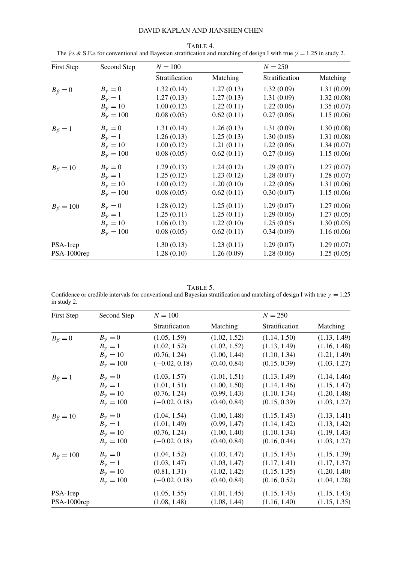| <b>First Step</b> | Second Step       | $N = 100$      |            | $N = 250$      |            |  |
|-------------------|-------------------|----------------|------------|----------------|------------|--|
|                   |                   | Stratification | Matching   | Stratification | Matching   |  |
| $B_{\beta}=0$     | $B_{\nu}=0$       | 1.32(0.14)     | 1.27(0.13) | 1.32(0.09)     | 1.31(0.09) |  |
|                   | $B_{\nu}=1$       | 1.27(0.13)     | 1.27(0.13) | 1.31(0.09)     | 1.32(0.08) |  |
|                   | $B_{\gamma} = 10$ | 1.00(0.12)     | 1.22(0.11) | 1.22(0.06)     | 1.35(0.07) |  |
|                   | $B_{\nu} = 100$   | 0.08(0.05)     | 0.62(0.11) | 0.27(0.06)     | 1.15(0.06) |  |
| $B_{\beta}=1$     | $B_{\nu}=0$       | 1.31(0.14)     | 1.26(0.13) | 1.31(0.09)     | 1.30(0.08) |  |
|                   | $B_{\gamma}=1$    | 1.26(0.13)     | 1.25(0.13) | 1.30(0.08)     | 1.31(0.08) |  |
|                   | $B_{\gamma} = 10$ | 1.00(0.12)     | 1.21(0.11) | 1.22(0.06)     | 1.34(0.07) |  |
|                   | $B_{\nu} = 100$   | 0.08(0.05)     | 0.62(0.11) | 0.27(0.06)     | 1.15(0.06) |  |
| $B_{\beta}=10$    | $B_{\gamma}=0$    | 1.29(0.13)     | 1.24(0.12) | 1.29(0.07)     | 1.27(0.07) |  |
|                   | $B_{\gamma}=1$    | 1.25(0.12)     | 1.23(0.12) | 1.28(0.07)     | 1.28(0.07) |  |
|                   | $B_{\nu}=10$      | 1.00(0.12)     | 1.20(0.10) | 1.22(0.06)     | 1.31(0.06) |  |
|                   | $B_{\nu} = 100$   | 0.08(0.05)     | 0.62(0.11) | 0.30(0.07)     | 1.15(0.06) |  |
| $B_{\beta} = 100$ | $B_{\gamma}=0$    | 1.28(0.12)     | 1.25(0.11) | 1.29(0.07)     | 1.27(0.06) |  |
|                   | $B_{\nu}=1$       | 1.25(0.11)     | 1.25(0.11) | 1.29(0.06)     | 1.27(0.05) |  |
|                   | $B_{\gamma}=10$   | 1.06(0.13)     | 1.22(0.10) | 1.25(0.05)     | 1.30(0.05) |  |
|                   | $B_{\nu} = 100$   | 0.08(0.05)     | 0.62(0.11) | 0.34(0.09)     | 1.16(0.06) |  |
| PSA-1rep          |                   | 1.30(0.13)     | 1.23(0.11) | 1.29(0.07)     | 1.29(0.07) |  |
| PSA-1000rep       |                   | 1.28(0.10)     | 1.26(0.09) | 1.28(0.06)     | 1.25(0.05) |  |

<span id="page-14-0"></span>TABLE 4. The *γ*ˆs & S.E.s for conventional and Bayesian stratification and matching of design I with true *γ* = 1*.*25 in study 2.

TABLE 5.

<span id="page-14-1"></span>Confidence or credible intervals for conventional and Bayesian stratification and matching of design I with true  $\gamma = 1.25$ in study 2.

| <b>First Step</b> | Second Step        | $N = 100$       |              | $N = 250$      |              |  |
|-------------------|--------------------|-----------------|--------------|----------------|--------------|--|
|                   |                    | Stratification  | Matching     | Stratification | Matching     |  |
| $B_{\beta}=0$     | $B_{\gamma}=0$     | (1.05, 1.59)    | (1.02, 1.52) | (1.14, 1.50)   | (1.13, 1.49) |  |
|                   | $B_{\gamma}=1$     | (1.02, 1.52)    | (1.02, 1.52) | (1.13, 1.49)   | (1.16, 1.48) |  |
|                   | $B_{\nu}=10$       | (0.76, 1.24)    | (1.00, 1.44) | (1.10, 1.34)   | (1.21, 1.49) |  |
|                   | $B_{\gamma} = 100$ | $(-0.02, 0.18)$ | (0.40, 0.84) | (0.15, 0.39)   | (1.03, 1.27) |  |
| $B_{\beta}=1$     | $B_{\gamma}=0$     | (1.03, 1.57)    | (1.01, 1.51) | (1.13, 1.49)   | (1.14, 1.46) |  |
|                   | $B_{\gamma}=1$     | (1.01, 1.51)    | (1.00, 1.50) | (1.14, 1.46)   | (1.15, 1.47) |  |
|                   | $B_{\gamma} = 10$  | (0.76, 1.24)    | (0.99, 1.43) | (1.10, 1.34)   | (1.20, 1.48) |  |
|                   | $B_{\gamma} = 100$ | $(-0.02, 0.18)$ | (0.40, 0.84) | (0.15, 0.39)   | (1.03, 1.27) |  |
| $B_{\beta}=10$    | $B_{\gamma}=0$     | (1.04, 1.54)    | (1.00, 1.48) | (1.15, 1.43)   | (1.13, 1.41) |  |
|                   | $B_{\gamma}=1$     | (1.01, 1.49)    | (0.99, 1.47) | (1.14, 1.42)   | (1.13, 1.42) |  |
|                   | $B_{\gamma} = 10$  | (0.76, 1.24)    | (1.00, 1.40) | (1.10, 1.34)   | (1.19, 1.43) |  |
|                   | $B_{\nu} = 100$    | $(-0.02, 0.18)$ | (0.40, 0.84) | (0.16, 0.44)   | (1.03, 1.27) |  |
| $B_{\beta} = 100$ | $B_{\nu}=0$        | (1.04, 1.52)    | (1.03, 1.47) | (1.15, 1.43)   | (1.15, 1.39) |  |
|                   | $B_{\gamma}=1$     | (1.03, 1.47)    | (1.03, 1.47) | (1.17, 1.41)   | (1.17, 1.37) |  |
|                   | $B_{\gamma} = 10$  | (0.81, 1.31)    | (1.02, 1.42) | (1.15, 1.35)   | (1.20, 1.40) |  |
|                   | $B_{\nu} = 100$    | $(-0.02, 0.18)$ | (0.40, 0.84) | (0.16, 0.52)   | (1.04, 1.28) |  |
| PSA-1rep          |                    | (1.05, 1.55)    | (1.01, 1.45) | (1.15, 1.43)   | (1.15, 1.43) |  |
| PSA-1000rep       |                    | (1.08, 1.48)    | (1.08, 1.44) | (1.16, 1.40)   | (1.15, 1.35) |  |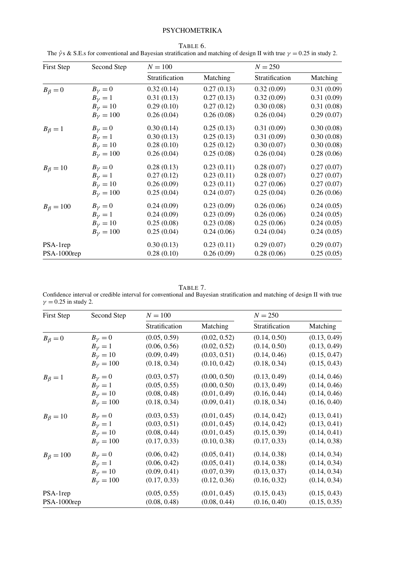| <b>First Step</b> | Second Step       | $N = 100$      |            | $N = 250$      |            |
|-------------------|-------------------|----------------|------------|----------------|------------|
|                   |                   | Stratification | Matching   | Stratification | Matching   |
| $B_{\beta}=0$     | $B_{\gamma}=0$    | 0.32(0.14)     | 0.27(0.13) | 0.32(0.09)     | 0.31(0.09) |
|                   | $B_{\nu}=1$       | 0.31(0.13)     | 0.27(0.13) | 0.32(0.09)     | 0.31(0.09) |
|                   | $B_{\gamma} = 10$ | 0.29(0.10)     | 0.27(0.12) | 0.30(0.08)     | 0.31(0.08) |
|                   | $B_{\nu} = 100$   | 0.26(0.04)     | 0.26(0.08) | 0.26(0.04)     | 0.29(0.07) |
| $B_{\beta}=1$     | $B_{\nu}=0$       | 0.30(0.14)     | 0.25(0.13) | 0.31(0.09)     | 0.30(0.08) |
|                   | $B_{\gamma}=1$    | 0.30(0.13)     | 0.25(0.13) | 0.31(0.09)     | 0.30(0.08) |
|                   | $B_{\gamma} = 10$ | 0.28(0.10)     | 0.25(0.12) | 0.30(0.07)     | 0.30(0.08) |
|                   | $B_{\nu} = 100$   | 0.26(0.04)     | 0.25(0.08) | 0.26(0.04)     | 0.28(0.06) |
| $B_{\beta}=10$    | $B_{\gamma}=0$    | 0.28(0.13)     | 0.23(0.11) | 0.28(0.07)     | 0.27(0.07) |
|                   | $B_{\gamma}=1$    | 0.27(0.12)     | 0.23(0.11) | 0.28(0.07)     | 0.27(0.07) |
|                   | $B_{\nu}=10$      | 0.26(0.09)     | 0.23(0.11) | 0.27(0.06)     | 0.27(0.07) |
|                   | $B_{\nu} = 100$   | 0.25(0.04)     | 0.24(0.07) | 0.25(0.04)     | 0.26(0.06) |
| $B_{\beta}=100$   | $B_{\gamma}=0$    | 0.24(0.09)     | 0.23(0.09) | 0.26(0.06)     | 0.24(0.05) |
|                   | $B_{\gamma}=1$    | 0.24(0.09)     | 0.23(0.09) | 0.26(0.06)     | 0.24(0.05) |
|                   | $B_{\nu}=10$      | 0.25(0.08)     | 0.23(0.08) | 0.25(0.06)     | 0.24(0.05) |
|                   | $B_{\nu} = 100$   | 0.25(0.04)     | 0.24(0.06) | 0.24(0.04)     | 0.24(0.05) |
| PSA-1rep          |                   | 0.30(0.13)     | 0.23(0.11) | 0.29(0.07)     | 0.29(0.07) |
| PSA-1000rep       |                   | 0.28(0.10)     | 0.26(0.09) | 0.28(0.06)     | 0.25(0.05) |

<span id="page-15-0"></span>TABLE 6. The *γ*ˆs & S.E.s for conventional and Bayesian stratification and matching of design II with true *γ* = 0*.*25 in study 2.

TABLE 7.

<span id="page-15-1"></span>Confidence interval or credible interval for conventional and Bayesian stratification and matching of design II with true  $\gamma = 0.25$  in study 2.

| First Step        | Second Step        | $N = 100$      |              | $N = 250$      |              |  |
|-------------------|--------------------|----------------|--------------|----------------|--------------|--|
|                   |                    | Stratification | Matching     | Stratification | Matching     |  |
| $B_{\beta}=0$     | $B_{\gamma}=0$     | (0.05, 0.59)   | (0.02, 0.52) | (0.14, 0.50)   | (0.13, 0.49) |  |
|                   | $B_{\gamma}=1$     | (0.06, 0.56)   | (0.02, 0.52) | (0.14, 0.50)   | (0.13, 0.49) |  |
|                   | $B_v = 10$         | (0.09, 0.49)   | (0.03, 0.51) | (0.14, 0.46)   | (0.15, 0.47) |  |
|                   | $B_{\nu} = 100$    | (0.18, 0.34)   | (0.10, 0.42) | (0.18, 0.34)   | (0.15, 0.43) |  |
| $B_{\beta}=1$     | $B_{\gamma}=0$     | (0.03, 0.57)   | (0.00, 0.50) | (0.13, 0.49)   | (0.14, 0.46) |  |
|                   | $B_{\gamma}=1$     | (0.05, 0.55)   | (0.00, 0.50) | (0.13, 0.49)   | (0.14, 0.46) |  |
|                   | $B_{\nu} = 10$     | (0.08, 0.48)   | (0.01, 0.49) | (0.16, 0.44)   | (0.14, 0.46) |  |
|                   | $B_{\gamma} = 100$ | (0.18, 0.34)   | (0.09, 0.41) | (0.18, 0.34)   | (0.16, 0.40) |  |
| $B_{\beta}=10$    | $B_{\gamma}=0$     | (0.03, 0.53)   | (0.01, 0.45) | (0.14, 0.42)   | (0.13, 0.41) |  |
|                   | $B_{\gamma}=1$     | (0.03, 0.51)   | (0.01, 0.45) | (0.14, 0.42)   | (0.13, 0.41) |  |
|                   | $B_{\gamma} = 10$  | (0.08, 0.44)   | (0.01, 0.45) | (0.15, 0.39)   | (0.14, 0.41) |  |
|                   | $B_{\nu} = 100$    | (0.17, 0.33)   | (0.10, 0.38) | (0.17, 0.33)   | (0.14, 0.38) |  |
| $B_{\beta} = 100$ | $B_{\nu}=0$        | (0.06, 0.42)   | (0.05, 0.41) | (0.14, 0.38)   | (0.14, 0.34) |  |
|                   | $B_{\nu}=1$        | (0.06, 0.42)   | (0.05, 0.41) | (0.14, 0.38)   | (0.14, 0.34) |  |
|                   | $B_{\gamma} = 10$  | (0.09, 0.41)   | (0.07, 0.39) | (0.13, 0.37)   | (0.14, 0.34) |  |
|                   | $B_{\nu} = 100$    | (0.17, 0.33)   | (0.12, 0.36) | (0.16, 0.32)   | (0.14, 0.34) |  |
| PSA-1rep          |                    | (0.05, 0.55)   | (0.01, 0.45) | (0.15, 0.43)   | (0.15, 0.43) |  |
| PSA-1000rep       |                    | (0.08, 0.48)   | (0.08, 0.44) | (0.16, 0.40)   | (0.15, 0.35) |  |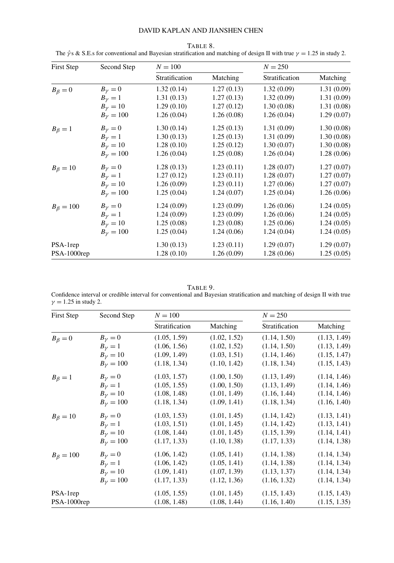| <b>First Step</b> | Second Step       | $N = 100$      |            | $N = 250$      |            |  |
|-------------------|-------------------|----------------|------------|----------------|------------|--|
|                   |                   | Stratification | Matching   | Stratification | Matching   |  |
| $B_{\beta}=0$     | $B_{\nu}=0$       | 1.32(0.14)     | 1.27(0.13) | 1.32(0.09)     | 1.31(0.09) |  |
|                   | $B_{\nu}=1$       | 1.31(0.13)     | 1.27(0.13) | 1.32(0.09)     | 1.31(0.09) |  |
|                   | $B_{\gamma} = 10$ | 1.29(0.10)     | 1.27(0.12) | 1.30(0.08)     | 1.31(0.08) |  |
|                   | $B_{\nu} = 100$   | 1.26(0.04)     | 1.26(0.08) | 1.26(0.04)     | 1.29(0.07) |  |
| $B_{\beta}=1$     | $B_{\nu}=0$       | 1.30(0.14)     | 1.25(0.13) | 1.31(0.09)     | 1.30(0.08) |  |
|                   | $B_{\gamma}=1$    | 1.30(0.13)     | 1.25(0.13) | 1.31(0.09)     | 1.30(0.08) |  |
|                   | $B_{\gamma} = 10$ | 1.28(0.10)     | 1.25(0.12) | 1.30(0.07)     | 1.30(0.08) |  |
|                   | $B_{\nu} = 100$   | 1.26(0.04)     | 1.25(0.08) | 1.26(0.04)     | 1.28(0.06) |  |
| $B_{\beta}=10$    | $B_{\gamma}=0$    | 1.28(0.13)     | 1.23(0.11) | 1.28(0.07)     | 1.27(0.07) |  |
|                   | $B_{\gamma}=1$    | 1.27(0.12)     | 1.23(0.11) | 1.28(0.07)     | 1.27(0.07) |  |
|                   | $B_{\nu}=10$      | 1.26(0.09)     | 1.23(0.11) | 1.27(0.06)     | 1.27(0.07) |  |
|                   | $B_{\nu} = 100$   | 1.25(0.04)     | 1.24(0.07) | 1.25(0.04)     | 1.26(0.06) |  |
| $B_{\beta} = 100$ | $B_{\gamma}=0$    | 1.24(0.09)     | 1.23(0.09) | 1.26(0.06)     | 1.24(0.05) |  |
|                   | $B_{\gamma}=1$    | 1.24(0.09)     | 1.23(0.09) | 1.26(0.06)     | 1.24(0.05) |  |
|                   | $B_{\nu}=10$      | 1.25(0.08)     | 1.23(0.08) | 1.25(0.06)     | 1.24(0.05) |  |
|                   | $B_{\nu} = 100$   | 1.25(0.04)     | 1.24(0.06) | 1.24(0.04)     | 1.24(0.05) |  |
| PSA-1rep          |                   | 1.30(0.13)     | 1.23(0.11) | 1.29(0.07)     | 1.29(0.07) |  |
| PSA-1000rep       |                   | 1.28(0.10)     | 1.26(0.09) | 1.28(0.06)     | 1.25(0.05) |  |

<span id="page-16-0"></span>TABLE 8. The *γ*ˆs & S.E.s for conventional and Bayesian stratification and matching of design II with true *γ* = 1*.*25 in study 2.

TABLE 9.

<span id="page-16-1"></span>Confidence interval or credible interval for conventional and Bayesian stratification and matching of design II with true  $\gamma = 1.25$  in study 2.

| <b>First Step</b> | Second Step        | $N = 100$      |              | $N = 250$      |              |  |
|-------------------|--------------------|----------------|--------------|----------------|--------------|--|
|                   |                    | Stratification | Matching     | Stratification | Matching     |  |
| $B_{\beta}=0$     | $B_{\gamma}=0$     | (1.05, 1.59)   | (1.02, 1.52) | (1.14, 1.50)   | (1.13, 1.49) |  |
|                   | $B_{\gamma}=1$     | (1.06, 1.56)   | (1.02, 1.52) | (1.14, 1.50)   | (1.13, 1.49) |  |
|                   | $B_{\gamma} = 10$  | (1.09, 1.49)   | (1.03, 1.51) | (1.14, 1.46)   | (1.15, 1.47) |  |
|                   | $B_{\gamma} = 100$ | (1.18, 1.34)   | (1.10, 1.42) | (1.18, 1.34)   | (1.15, 1.43) |  |
| $B_{\beta}=1$     | $B_{\gamma}=0$     | (1.03, 1.57)   | (1.00, 1.50) | (1.13, 1.49)   | (1.14, 1.46) |  |
|                   | $B_{\gamma}=1$     | (1.05, 1.55)   | (1.00, 1.50) | (1.13, 1.49)   | (1.14, 1.46) |  |
|                   | $B_{\gamma} = 10$  | (1.08, 1.48)   | (1.01, 1.49) | (1.16, 1.44)   | (1.14, 1.46) |  |
|                   | $B_{\gamma} = 100$ | (1.18, 1.34)   | (1.09, 1.41) | (1.18, 1.34)   | (1.16, 1.40) |  |
| $B_{\beta}=10$    | $B_{\gamma}=0$     | (1.03, 1.53)   | (1.01, 1.45) | (1.14, 1.42)   | (1.13, 1.41) |  |
|                   | $B_{\gamma}=1$     | (1.03, 1.51)   | (1.01, 1.45) | (1.14, 1.42)   | (1.13, 1.41) |  |
|                   | $B_{\gamma} = 10$  | (1.08, 1.44)   | (1.01, 1.45) | (1.15, 1.39)   | (1.14, 1.41) |  |
|                   | $B_{\nu} = 100$    | (1.17, 1.33)   | (1.10, 1.38) | (1.17, 1.33)   | (1.14, 1.38) |  |
| $B_{\beta} = 100$ | $B_{\nu}=0$        | (1.06, 1.42)   | (1.05, 1.41) | (1.14, 1.38)   | (1.14, 1.34) |  |
|                   | $B_{\gamma}=1$     | (1.06, 1.42)   | (1.05, 1.41) | (1.14, 1.38)   | (1.14, 1.34) |  |
|                   | $B_{\gamma} = 10$  | (1.09, 1.41)   | (1.07, 1.39) | (1.13, 1.37)   | (1.14, 1.34) |  |
|                   | $B_{\nu} = 100$    | (1.17, 1.33)   | (1.12, 1.36) | (1.16, 1.32)   | (1.14, 1.34) |  |
| PSA-1rep          |                    | (1.05, 1.55)   | (1.01, 1.45) | (1.15, 1.43)   | (1.15, 1.43) |  |
| PSA-1000rep       |                    | (1.08, 1.48)   | (1.08, 1.44) | (1.16, 1.40)   | (1.15, 1.35) |  |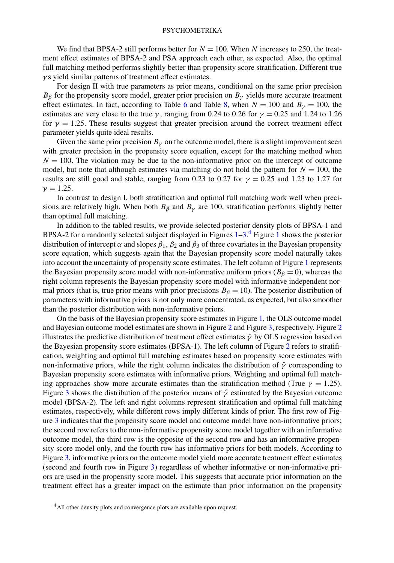We find that BPSA-2 still performs better for  $N = 100$ . When *N* increases to 250, the treatment effect estimates of BPSA-2 and PSA approach each other, as expected. Also, the optimal full matching method performs slightly better than propensity score stratification. Different true *γ* s yield similar patterns of treatment effect estimates.

For design II with true parameters as prior means, conditional on the same prior precision  $B_\beta$  for the propensity score model, greater prior precision on  $B_\gamma$  yields more accurate treatment effect estimates. In fact, according to Table [6](#page-15-0) and Table [8,](#page-16-0) when  $N = 100$  and  $B<sub>V</sub> = 100$ , the estimates are very close to the true *γ*, ranging from 0.24 to 0.26 for  $\gamma = 0.25$  and 1.24 to 1.26 for  $\gamma = 1.25$ . These results suggest that greater precision around the correct treatment effect parameter yields quite ideal results.

Given the same prior precision  $B<sub>y</sub>$  on the outcome model, there is a slight improvement seen with greater precision in the propensity score equation, except for the matching method when  $N = 100$ . The violation may be due to the non-informative prior on the intercept of outcome model, but note that although estimates via matching do not hold the pattern for  $N = 100$ , the results are still good and stable, ranging from 0.23 to 0.27 for  $\gamma = 0.25$  and 1.23 to 1.27 for  $\gamma = 1.25$ .

In contrast to design I, both stratification and optimal full matching work well when precisions are relatively high. When both  $B_\beta$  and  $B_\gamma$  are 100, stratification performs slightly better than optimal full matching.

In addition to the tabled results, we provide selected posterior density plots of BPSA-1 and BPSA-2 for a randomly selected subject displayed in Figures [1](#page-18-0)[–3](#page-20-0).<sup>[4](#page-17-0)</sup> Figure 1 shows the posterior distribution of intercept  $\alpha$  and slopes  $\beta_1$ ,  $\beta_2$  and  $\beta_3$  of three covariates in the Bayesian propensity score equation, which suggests again that the Bayesian propensity score model naturally takes into account the uncertainty of propensity score estimates. The left column of Figure [1](#page-18-0) represents the Bayesian propensity score model with non-informative uniform priors  $(B_\beta = 0)$ , whereas the right column represents the Bayesian propensity score model with informative independent normal priors (that is, true prior means with prior precisions  $B_\beta = 10$ ). The posterior distribution of parameters with informative priors is not only more concentrated, as expected, but also smoother than the posterior distribution with non-informative priors.

On the basis of the Bayesian propensity score estimates in Figure [1](#page-18-0), the OLS outcome model and Bayesian outcome model estimates are shown in Figure [2](#page-19-0) and Figure [3](#page-20-0), respectively. Figure [2](#page-19-0) illustrates the predictive distribution of treatment effect estimates  $\hat{\gamma}$  by OLS regression based on the Bayesian propensity score estimates (BPSA-1). The left column of Figure [2](#page-19-0) refers to stratification, weighting and optimal full matching estimates based on propensity score estimates with non-informative priors, while the right column indicates the distribution of  $\hat{\gamma}$  corresponding to Bayesian propensity score estimates with informative priors. Weighting and optimal full matching approaches show more accurate estimates than the stratification method (True  $\gamma = 1.25$ ). Figure [3](#page-20-0) shows the distribution of the posterior means of *γ*ˆ estimated by the Bayesian outcome model (BPSA-2). The left and right columns represent stratification and optimal full matching estimates, respectively, while different rows imply different kinds of prior. The first row of Figure [3](#page-20-0) indicates that the propensity score model and outcome model have non-informative priors; the second row refers to the non-informative propensity score model together with an informative outcome model, the third row is the opposite of the second row and has an informative propensity score model only, and the fourth row has informative priors for both models. According to Figure [3,](#page-20-0) informative priors on the outcome model yield more accurate treatment effect estimates (second and fourth row in Figure [3\)](#page-20-0) regardless of whether informative or non-informative priors are used in the propensity score model. This suggests that accurate prior information on the treatment effect has a greater impact on the estimate than prior information on the propensity

<span id="page-17-0"></span><sup>&</sup>lt;sup>4</sup>All other density plots and convergence plots are available upon request.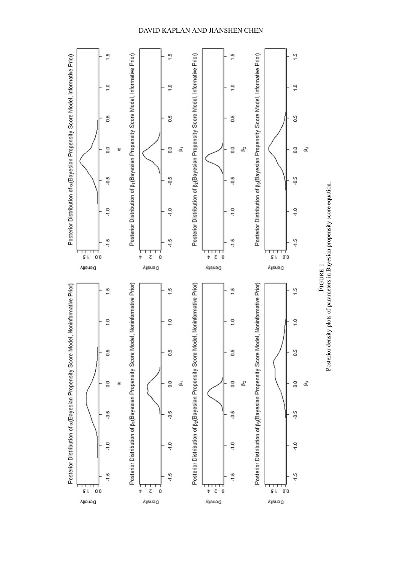<span id="page-18-0"></span>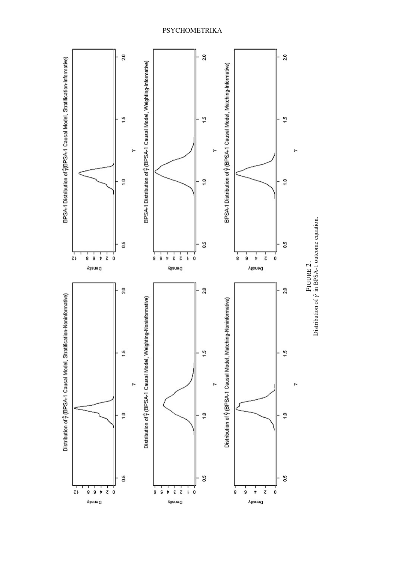<span id="page-19-0"></span>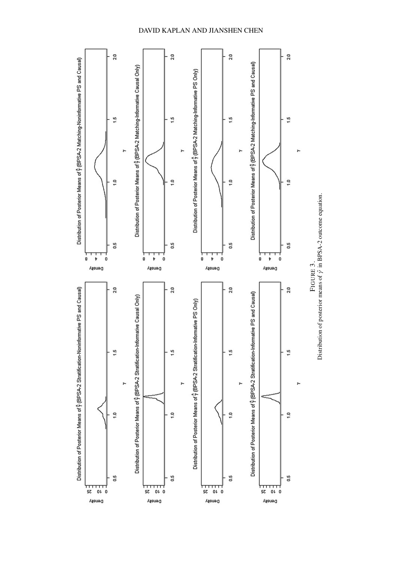<span id="page-20-0"></span>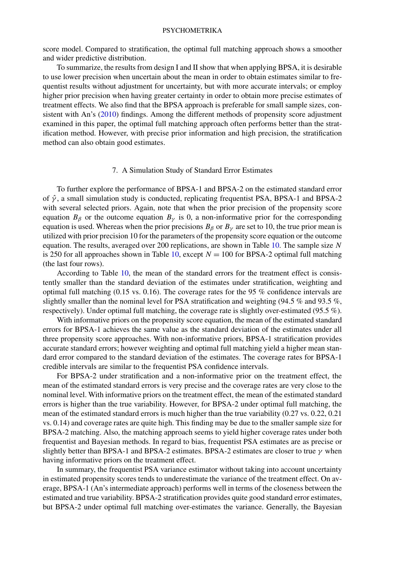score model. Compared to stratification, the optimal full matching approach shows a smoother and wider predictive distribution.

To summarize, the results from design I and II show that when applying BPSA, it is desirable to use lower precision when uncertain about the mean in order to obtain estimates similar to frequentist results without adjustment for uncertainty, but with more accurate intervals; or employ higher prior precision when having greater certainty in order to obtain more precise estimates of treatment effects. We also find that the BPSA approach is preferable for small sample sizes, consistent with An's ([2010\)](#page-27-20) findings. Among the different methods of propensity score adjustment examined in this paper, the optimal full matching approach often performs better than the stratification method. However, with precise prior information and high precision, the stratification method can also obtain good estimates.

## 7. A Simulation Study of Standard Error Estimates

To further explore the performance of BPSA-1 and BPSA-2 on the estimated standard error of *γ*ˆ, a small simulation study is conducted, replicating frequentist PSA, BPSA-1 and BPSA-2 with several selected priors. Again, note that when the prior precision of the propensity score equation  $B_\beta$  or the outcome equation  $B_\gamma$  is 0, a non-informative prior for the corresponding equation is used. Whereas when the prior precisions  $B_\beta$  or  $B_\gamma$  are set to 10, the true prior mean is utilized with prior precision 10 for the parameters of the propensity score equation or the outcome equation. The results, averaged over 200 replications, are shown in Table [10](#page-22-0). The sample size *N* is 250 for all approaches shown in Table [10,](#page-22-0) except  $N = 100$  for BPSA-2 optimal full matching (the last four rows).

According to Table [10,](#page-22-0) the mean of the standard errors for the treatment effect is consistently smaller than the standard deviation of the estimates under stratification, weighting and optimal full matching  $(0.15 \text{ vs. } 0.16)$ . The coverage rates for the 95 % confidence intervals are slightly smaller than the nominal level for PSA stratification and weighting (94.5 % and 93.5 %, respectively). Under optimal full matching, the coverage rate is slightly over-estimated (95.5 %).

With informative priors on the propensity score equation, the mean of the estimated standard errors for BPSA-1 achieves the same value as the standard deviation of the estimates under all three propensity score approaches. With non-informative priors, BPSA-1 stratification provides accurate standard errors; however weighting and optimal full matching yield a higher mean standard error compared to the standard deviation of the estimates. The coverage rates for BPSA-1 credible intervals are similar to the frequentist PSA confidence intervals.

For BPSA-2 under stratification and a non-informative prior on the treatment effect, the mean of the estimated standard errors is very precise and the coverage rates are very close to the nominal level. With informative priors on the treatment effect, the mean of the estimated standard errors is higher than the true variability. However, for BPSA-2 under optimal full matching, the mean of the estimated standard errors is much higher than the true variability (0.27 vs. 0.22, 0.21 vs. 0.14) and coverage rates are quite high. This finding may be due to the smaller sample size for BPSA-2 matching. Also, the matching approach seems to yield higher coverage rates under both frequentist and Bayesian methods. In regard to bias, frequentist PSA estimates are as precise or slightly better than BPSA-1 and BPSA-2 estimates. BPSA-2 estimates are closer to true *γ* when having informative priors on the treatment effect.

In summary, the frequentist PSA variance estimator without taking into account uncertainty in estimated propensity scores tends to underestimate the variance of the treatment effect. On average, BPSA-1 (An's intermediate approach) performs well in terms of the closeness between the estimated and true variability. BPSA-2 stratification provides quite good standard error estimates, but BPSA-2 under optimal full matching over-estimates the variance. Generally, the Bayesian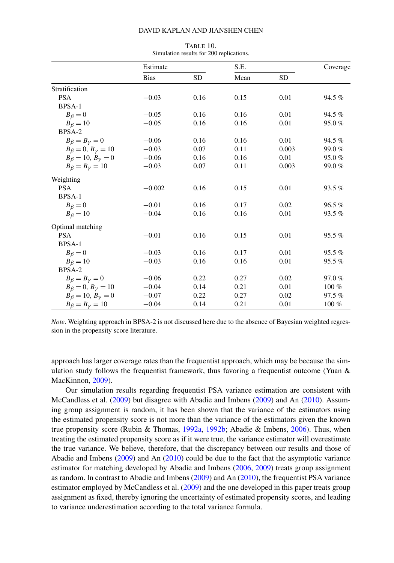<span id="page-22-0"></span>

|                                  | Estimate    |           | S.E. | Coverage |           |
|----------------------------------|-------------|-----------|------|----------|-----------|
|                                  | <b>Bias</b> | <b>SD</b> | Mean | SD       |           |
| Stratification                   |             |           |      |          |           |
| <b>PSA</b>                       | $-0.03$     | 0.16      | 0.15 | 0.01     | 94.5%     |
| BPSA-1                           |             |           |      |          |           |
| $B_{\beta}=0$                    | $-0.05$     | 0.16      | 0.16 | 0.01     | 94.5%     |
| $B_{\beta}=10$                   | $-0.05$     | 0.16      | 0.16 | 0.01     | $95.0 \%$ |
| BPSA-2                           |             |           |      |          |           |
| $B_{\beta} = B_{\gamma} = 0$     | $-0.06$     | 0.16      | 0.16 | 0.01     | 94.5%     |
| $B_{\beta} = 0, B_{\gamma} = 10$ | $-0.03$     | 0.07      | 0.11 | 0.003    | 99.0%     |
| $B_{\beta} = 10, B_{\gamma} = 0$ | $-0.06$     | 0.16      | 0.16 | 0.01     | $95.0 \%$ |
| $B_{\beta} = B_{\gamma} = 10$    | $-0.03$     | 0.07      | 0.11 | 0.003    | 99.0 $%$  |
| Weighting                        |             |           |      |          |           |
| <b>PSA</b>                       | $-0.002$    | 0.16      | 0.15 | 0.01     | $93.5\%$  |
| BPSA-1                           |             |           |      |          |           |
| $B_{\beta}=0$                    | $-0.01$     | 0.16      | 0.17 | 0.02     | $96.5\%$  |
| $B_{\beta}=10$                   | $-0.04$     | 0.16      | 0.16 | 0.01     | 93.5 $%$  |
| Optimal matching                 |             |           |      |          |           |
| <b>PSA</b>                       | $-0.01$     | 0.16      | 0.15 | 0.01     | $95.5\%$  |
| BPSA-1                           |             |           |      |          |           |
| $B_{\beta}=0$                    | $-0.03$     | 0.16      | 0.17 | 0.01     | $95.5\%$  |
| $B_{\beta}=10$                   | $-0.03$     | 0.16      | 0.16 | 0.01     | $95.5\%$  |
| BPSA-2                           |             |           |      |          |           |
| $B_{\beta} = B_{\gamma} = 0$     | $-0.06$     | 0.22      | 0.27 | 0.02     | $97.0 \%$ |
| $B_{\beta} = 0, B_{\gamma} = 10$ | $-0.04$     | 0.14      | 0.21 | 0.01     | $100\%$   |
| $B_{\beta} = 10, B_{\gamma} = 0$ | $-0.07$     | 0.22      | 0.27 | 0.02     | 97.5%     |
| $B_{\beta} = B_{\gamma} = 10$    | $-0.04$     | 0.14      | 0.21 | 0.01     | 100 %     |

| TABLE 10.                                |
|------------------------------------------|
| Simulation results for 200 replications. |

approach has larger coverage rates than the frequentist approach, which may be because the simulation study follows the frequentist framework, thus favoring a frequentist outcome (Yuan  $\&$ MacKinnon, [2009](#page-28-14)).

Our simulation results regarding frequentist PSA variance estimation are consistent with McCandless et al. ([2009\)](#page-27-19) but disagree with Abadie and Imbens ([2009\)](#page-27-5) and An ([2010\)](#page-27-20). Assuming group assignment is random, it has been shown that the variance of the estimators using the estimated propensity score is not more than the variance of the estimators given the known true propensity score (Rubin & Thomas, [1992a,](#page-28-5) [1992b](#page-28-6); Abadie & Imbens, [2006](#page-27-4)). Thus, when treating the estimated propensity score as if it were true, the variance estimator will overestimate the true variance. We believe, therefore, that the discrepancy between our results and those of Abadie and Imbens [\(2009\)](#page-27-5) and An ([2010\)](#page-27-20) could be due to the fact that the asymptotic variance estimator for matching developed by Abadie and Imbens [\(2006](#page-27-4), [2009\)](#page-27-5) treats group assignment as random. In contrast to Abadie and Imbens ([2009\)](#page-27-5) and An [\(2010](#page-27-20)), the frequentist PSA variance estimator employed by McCandless et al. ([2009\)](#page-27-19) and the one developed in this paper treats group assignment as fixed, thereby ignoring the uncertainty of estimated propensity scores, and leading to variance underestimation according to the total variance formula.

*Note*. Weighting approach in BPSA-2 is not discussed here due to the absence of Bayesian weighted regression in the propensity score literature.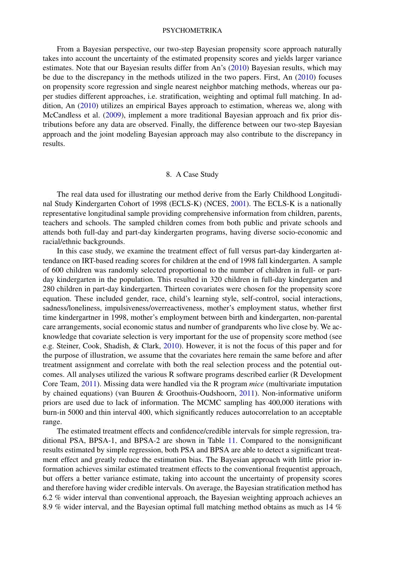From a Bayesian perspective, our two-step Bayesian propensity score approach naturally takes into account the uncertainty of the estimated propensity scores and yields larger variance estimates. Note that our Bayesian results differ from An's [\(2010](#page-27-20)) Bayesian results, which may be due to the discrepancy in the methods utilized in the two papers. First, An ([2010\)](#page-27-20) focuses on propensity score regression and single nearest neighbor matching methods, whereas our paper studies different approaches, i.e. stratification, weighting and optimal full matching. In addition, An ([2010\)](#page-27-20) utilizes an empirical Bayes approach to estimation, whereas we, along with McCandless et al. [\(2009\)](#page-27-19), implement a more traditional Bayesian approach and fix prior distributions before any data are observed. Finally, the difference between our two-step Bayesian approach and the joint modeling Bayesian approach may also contribute to the discrepancy in results.

# 8. A Case Study

The real data used for illustrating our method derive from the Early Childhood Longitudinal Study Kindergarten Cohort of 1998 (ECLS-K) (NCES, [2001](#page-27-28)). The ECLS-K is a nationally representative longitudinal sample providing comprehensive information from children, parents, teachers and schools. The sampled children comes from both public and private schools and attends both full-day and part-day kindergarten programs, having diverse socio-economic and racial/ethnic backgrounds.

In this case study, we examine the treatment effect of full versus part-day kindergarten attendance on IRT-based reading scores for children at the end of 1998 fall kindergarten. A sample of 600 children was randomly selected proportional to the number of children in full- or partday kindergarten in the population. This resulted in 320 children in full-day kindergarten and 280 children in part-day kindergarten. Thirteen covariates were chosen for the propensity score equation. These included gender, race, child's learning style, self-control, social interactions, sadness/loneliness, impulsiveness/overreactiveness, mother's employment status, whether first time kindergartner in 1998, mother's employment between birth and kindergarten, non-parental care arrangements, social economic status and number of grandparents who live close by. We acknowledge that covariate selection is very important for the use of propensity score method (see e.g. Steiner, Cook, Shadish, & Clark, [2010](#page-28-15)). However, it is not the focus of this paper and for the purpose of illustration, we assume that the covariates here remain the same before and after treatment assignment and correlate with both the real selection process and the potential outcomes. All analyses utilized the various R software programs described earlier (R Development Core Team, [2011](#page-27-23)). Missing data were handled via the R program *mice* (multivariate imputation by chained equations) (van Buuren & Groothuis-Oudshoorn, [2011\)](#page-28-16). Non-informative uniform priors are used due to lack of information. The MCMC sampling has 400,000 iterations with burn-in 5000 and thin interval 400, which significantly reduces autocorrelation to an acceptable range.

The estimated treatment effects and confidence/credible intervals for simple regression, traditional PSA, BPSA-1, and BPSA-2 are shown in Table [11.](#page-24-1) Compared to the nonsignificant results estimated by simple regression, both PSA and BPSA are able to detect a significant treatment effect and greatly reduce the estimation bias. The Bayesian approach with little prior information achieves similar estimated treatment effects to the conventional frequentist approach, but offers a better variance estimate, taking into account the uncertainty of propensity scores and therefore having wider credible intervals. On average, the Bayesian stratification method has 6.2 % wider interval than conventional approach, the Bayesian weighting approach achieves an 8.9 % wider interval, and the Bayesian optimal full matching method obtains as much as 14 %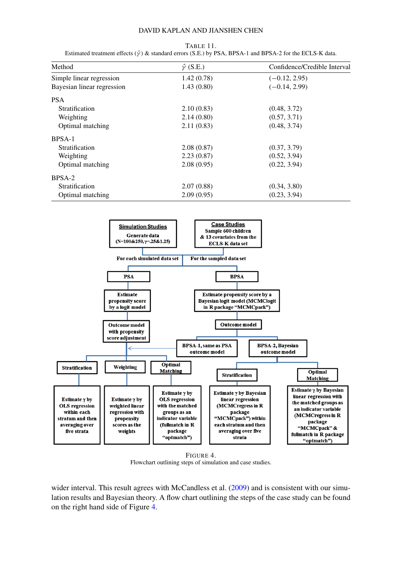| Method                     | $\hat{\gamma}$ (S.E.) | Confidence/Credible Interval |
|----------------------------|-----------------------|------------------------------|
| Simple linear regression   | 1.42(0.78)            | $(-0.12, 2.95)$              |
| Bayesian linear regression | 1.43(0.80)            | $(-0.14, 2.99)$              |
| <b>PSA</b>                 |                       |                              |
| <b>Stratification</b>      | 2.10(0.83)            | (0.48, 3.72)                 |
| Weighting                  | 2.14(0.80)            | (0.57, 3.71)                 |
| Optimal matching           | 2.11(0.83)            | (0.48, 3.74)                 |
| BPSA-1                     |                       |                              |
| <b>Stratification</b>      | 2.08(0.87)            | (0.37, 3.79)                 |
| Weighting                  | 2.23(0.87)            | (0.52, 3.94)                 |
| Optimal matching           | 2.08(0.95)            | (0.22, 3.94)                 |
| BPSA-2                     |                       |                              |
| Stratification             | 2.07(0.88)            | (0.34, 3.80)                 |
| Optimal matching           | 2.09(0.95)            | (0.23, 3.94)                 |

<span id="page-24-1"></span>TABLE 11. Estimated treatment effects (*γ*ˆ) & standard errors (S.E.) by PSA, BPSA-1 and BPSA-2 for the ECLS-K data.



FIGURE 4. Flowchart outlining steps of simulation and case studies.

<span id="page-24-0"></span>wider interval. This result agrees with McCandless et al. ([2009\)](#page-27-19) and is consistent with our simulation results and Bayesian theory. A flow chart outlining the steps of the case study can be found on the right hand side of Figure [4.](#page-24-0)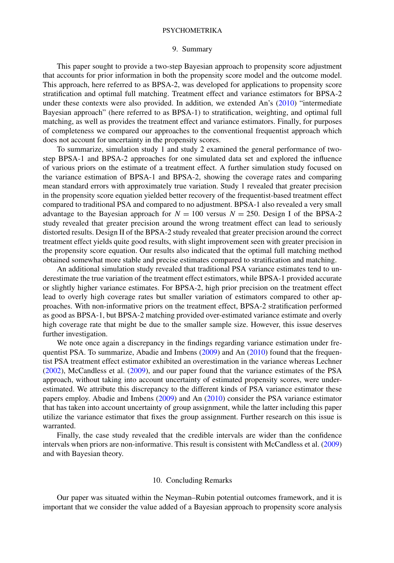## 9. Summary

This paper sought to provide a two-step Bayesian approach to propensity score adjustment that accounts for prior information in both the propensity score model and the outcome model. This approach, here referred to as BPSA-2, was developed for applications to propensity score stratification and optimal full matching. Treatment effect and variance estimators for BPSA-2 under these contexts were also provided. In addition, we extended An's [\(2010](#page-27-20)) "intermediate Bayesian approach" (here referred to as BPSA-1) to stratification, weighting, and optimal full matching, as well as provides the treatment effect and variance estimators. Finally, for purposes of completeness we compared our approaches to the conventional frequentist approach which does not account for uncertainty in the propensity scores.

To summarize, simulation study 1 and study 2 examined the general performance of twostep BPSA-1 and BPSA-2 approaches for one simulated data set and explored the influence of various priors on the estimate of a treatment effect. A further simulation study focused on the variance estimation of BPSA-1 and BPSA-2, showing the coverage rates and comparing mean standard errors with approximately true variation. Study 1 revealed that greater precision in the propensity score equation yielded better recovery of the frequentist-based treatment effect compared to traditional PSA and compared to no adjustment. BPSA-1 also revealed a very small advantage to the Bayesian approach for  $N = 100$  versus  $N = 250$ . Design I of the BPSA-2 study revealed that greater precision around the wrong treatment effect can lead to seriously distorted results. Design II of the BPSA-2 study revealed that greater precision around the correct treatment effect yields quite good results, with slight improvement seen with greater precision in the propensity score equation. Our results also indicated that the optimal full matching method obtained somewhat more stable and precise estimates compared to stratification and matching.

An additional simulation study revealed that traditional PSA variance estimates tend to underestimate the true variation of the treatment effect estimators, while BPSA-1 provided accurate or slightly higher variance estimates. For BPSA-2, high prior precision on the treatment effect lead to overly high coverage rates but smaller variation of estimators compared to other approaches. With non-informative priors on the treatment effect, BPSA-2 stratification performed as good as BPSA-1, but BPSA-2 matching provided over-estimated variance estimate and overly high coverage rate that might be due to the smaller sample size. However, this issue deserves further investigation.

We note once again a discrepancy in the findings regarding variance estimation under frequentist PSA. To summarize, Abadie and Imbens [\(2009](#page-27-5)) and An [\(2010](#page-27-20)) found that the frequentist PSA treatment effect estimator exhibited an overestimation in the variance whereas Lechner [\(2002](#page-27-6)), McCandless et al. [\(2009](#page-27-19)), and our paper found that the variance estimates of the PSA approach, without taking into account uncertainty of estimated propensity scores, were underestimated. We attribute this discrepancy to the different kinds of PSA variance estimator these papers employ. Abadie and Imbens ([2009\)](#page-27-5) and An ([2010\)](#page-27-20) consider the PSA variance estimator that has taken into account uncertainty of group assignment, while the latter including this paper utilize the variance estimator that fixes the group assignment. Further research on this issue is warranted.

Finally, the case study revealed that the credible intervals are wider than the confidence intervals when priors are non-informative. This result is consistent with McCandless et al. [\(2009](#page-27-19)) and with Bayesian theory.

# 10. Concluding Remarks

Our paper was situated within the Neyman–Rubin potential outcomes framework, and it is important that we consider the value added of a Bayesian approach to propensity score analysis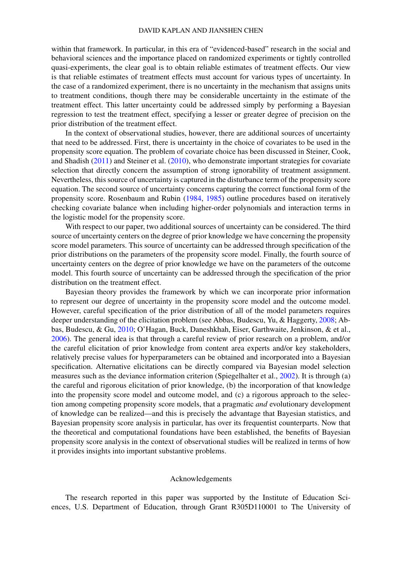within that framework. In particular, in this era of "evidenced-based" research in the social and behavioral sciences and the importance placed on randomized experiments or tightly controlled quasi-experiments, the clear goal is to obtain reliable estimates of treatment effects. Our view is that reliable estimates of treatment effects must account for various types of uncertainty. In the case of a randomized experiment, there is no uncertainty in the mechanism that assigns units to treatment conditions, though there may be considerable uncertainty in the estimate of the treatment effect. This latter uncertainty could be addressed simply by performing a Bayesian regression to test the treatment effect, specifying a lesser or greater degree of precision on the prior distribution of the treatment effect.

In the context of observational studies, however, there are additional sources of uncertainty that need to be addressed. First, there is uncertainty in the choice of covariates to be used in the propensity score equation. The problem of covariate choice has been discussed in Steiner, Cook, and Shadish ([2011\)](#page-28-17) and Steiner et al. [\(2010](#page-28-15)), who demonstrate important strategies for covariate selection that directly concern the assumption of strong ignorability of treatment assignment. Nevertheless, this source of uncertainty is captured in the disturbance term of the propensity score equation. The second source of uncertainty concerns capturing the correct functional form of the propensity score. Rosenbaum and Rubin ([1984,](#page-28-18) [1985\)](#page-28-19) outline procedures based on iteratively checking covariate balance when including higher-order polynomials and interaction terms in the logistic model for the propensity score.

With respect to our paper, two additional sources of uncertainty can be considered. The third source of uncertainty centers on the degree of prior knowledge we have concerning the propensity score model parameters. This source of uncertainty can be addressed through specification of the prior distributions on the parameters of the propensity score model. Finally, the fourth source of uncertainty centers on the degree of prior knowledge we have on the parameters of the outcome model. This fourth source of uncertainty can be addressed through the specification of the prior distribution on the treatment effect.

Bayesian theory provides the framework by which we can incorporate prior information to represent our degree of uncertainty in the propensity score model and the outcome model. However, careful specification of the prior distribution of all of the model parameters requires deeper understanding of the elicitation problem (see Abbas, Budescu, Yu, & Haggerty, [2008;](#page-27-29) Abbas, Budescu, & Gu, [2010;](#page-27-30) O'Hagan, Buck, Daneshkhah, Eiser, Garthwaite, Jenkinson, & et al., [2006\)](#page-27-31). The general idea is that through a careful review of prior research on a problem, and/or the careful elicitation of prior knowledge from content area experts and/or key stakeholders, relatively precise values for hyperparameters can be obtained and incorporated into a Bayesian specification. Alternative elicitations can be directly compared via Bayesian model selection measures such as the deviance information criterion (Spiegelhalter et al., [2002\)](#page-28-12). It is through (a) the careful and rigorous elicitation of prior knowledge, (b) the incorporation of that knowledge into the propensity score model and outcome model, and (c) a rigorous approach to the selection among competing propensity score models, that a pragmatic *and* evolutionary development of knowledge can be realized—and this is precisely the advantage that Bayesian statistics, and Bayesian propensity score analysis in particular, has over its frequentist counterparts. Now that the theoretical and computational foundations have been established, the benefits of Bayesian propensity score analysis in the context of observational studies will be realized in terms of how it provides insights into important substantive problems.

## Acknowledgements

The research reported in this paper was supported by the Institute of Education Sciences, U.S. Department of Education, through Grant R305D110001 to The University of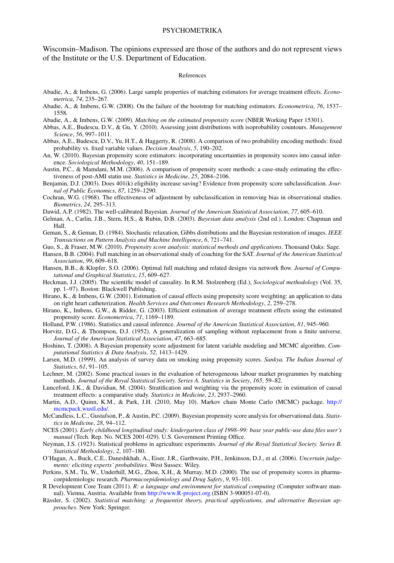<span id="page-27-30"></span><span id="page-27-29"></span><span id="page-27-8"></span><span id="page-27-5"></span><span id="page-27-4"></span>Wisconsin–Madison. The opinions expressed are those of the authors and do not represent views of the Institute or the U.S. Department of Education.

#### References

- <span id="page-27-20"></span><span id="page-27-7"></span>Abadie, A., & Imbens, G. (2006). Large sample properties of matching estimators for average treatment effects. *Econometrica*, *74*, 235–267.
- <span id="page-27-25"></span>Abadie, A., & Imbens, G.W. (2008). On the failure of the bootstrap for matching estimators. *Econometrica*, *76*, 1537– 1558.
- Abadie, A., & Imbens, G.W. (2009). *Matching on the estimated propensity score* (NBER Working Paper 15301).
- <span id="page-27-12"></span>Abbas, A.E., Budescu, D.V., & Gu, Y. (2010). Assessing joint distributions with isoprobability countours. *Management Science*, *56*, 997–1011.
- <span id="page-27-21"></span><span id="page-27-17"></span>Abbas, A.E., Budescu, D.V., Yu, H.T., & Haggerty, R. (2008). A comparison of two probability encoding methods: fixed probability vs. fixed variable values. *Decision Analysis*, *5*, 190–202.
- An, W. (2010). Bayesian propensity score estimators: incorporating uncertainties in propensity scores into causal inference. *Sociological Methodology*, *40*, 151–189.
- <span id="page-27-24"></span><span id="page-27-1"></span>Austin, P.C., & Mamdani, M.M. (2006). A comparison of propensity score methods: a case-study estimating the effectiveness of post-AMI statin use. *Statistics in Medicine*, *25*, 2084–2106.
- <span id="page-27-15"></span>Benjamin, D.J. (2003). Does 401(k) eligibility increase saving? Evidence from propensity score subclassification. *Journal of Public Economics*, *87*, 1259–1290.
- <span id="page-27-16"></span>Cochran, W.G. (1968). The effectiveness of adjustment by subclassification in removing bias in observational studies. *Biometrics*, *24*, 295–313.
- <span id="page-27-11"></span>Dawid, A.P. (1982). The well-calibrated Bayesian. *Journal of the American Statistical Association*, *77*, 605–610.
- <span id="page-27-14"></span>Gelman, A., Carlin, J.B., Stern, H.S., & Rubin, D.B. (2003). *Bayesian data analysis* (2nd ed.). London: Chapman and Hall.
- <span id="page-27-2"></span>Geman, S., & Geman, D. (1984). Stochastic relaxation, Gibbs distributions and the Bayesian restoration of images. *IEEE Transactions on Pattern Analysis and Machine Intelligence*, *6*, 721–741.
- Guo, S., & Fraser, M.W. (2010). *Propensity score analysis: statistical methods and applications*. Thousand Oaks: Sage.
- <span id="page-27-13"></span><span id="page-27-10"></span>Hansen, B.B. (2004). Full matching in an observational study of coaching for the SAT. *Journal of the American Statistical Association*, *99*, 609–618.
- <span id="page-27-18"></span>Hansen, B.B., & Klopfer, S.O. (2006). Optimal full matching and related designs via network flow. *Journal of Computational and Graphical Statistics*, *15*, 609–627.
- <span id="page-27-26"></span>Heckman, J.J. (2005). The scientific model of causality. In R.M. Stolzenberg (Ed.), *Sociological methodology* (Vol. 35, pp. 1–97). Boston: Blackwell Publishing.
- <span id="page-27-6"></span>Hirano, K., & Imbens, G.W. (2001). Estimation of causal effects using propensity score weighting: an application to data on right heart catheterization. *Health Services and Outcomes Research Methodology*, *2*, 259–278.
- <span id="page-27-3"></span>Hirano, K., Imbens, G.W., & Ridder, G. (2003). Efficient estimation of average treatment effects using the estimated propensity score. *Econometrica*, *71*, 1169–1189.
- <span id="page-27-22"></span>Holland, P.W. (1986). Statistics and causal inference. *Journal of the American Statistical Association*, *81*, 945–960.
- Horvitz, D.G., & Thompson, D.J. (1952). A generalization of sampling without replacement from a finite universe. *Journal of the American Statistical Association*, *47*, 663–685.
- <span id="page-27-19"></span>Hoshino, T. (2008). A Bayesian propensity score adjustment for latent variable modeling and MCMC algorithm. *Computational Statistics & Data Analysis*, *52*, 1413–1429.
- <span id="page-27-28"></span>Larsen, M.D. (1999). An analysis of survey data on smoking using propensity scores. *Sankya. The Indian Journal of Statistics*, *61*, 91–105.
- <span id="page-27-9"></span>Lechner, M. (2002). Some practical issues in the evaluation of heterogeneous labour market programmes by matching methods. *Journal of the Royal Statistical Society. Series A. Statistics in Society*, *165*, 59–82.
- <span id="page-27-31"></span>Lunceford, J.K., & Davidian, M. (2004). Stratification and weighting via the propensity score in estimation of causal treatment effects: a comparative study. *Statistics in Medicine*, *23*, 2937–2960.
- <span id="page-27-27"></span>Martin, A.D., Quinn, K.M., & Park, J.H. (2010, May 10). Markov chain Monte Carlo (MCMC) package. [http://](http://mcmcpack.wustl.edu/) [mcmcpack.wustl.edu/](http://mcmcpack.wustl.edu/).
- <span id="page-27-23"></span>McCandless, L.C., Gustafson, P., & Austin, P.C. (2009). Bayesian propensity score analysis for observational data. *Statistics in Medicine*, *28*, 94–112.
- <span id="page-27-0"></span>NCES (2001). *Early childhood longitudinal study: kindergarten class of 1998–99: base year public-use data files user's manual* (Tech. Rep. No. NCES 2001-029). U.S. Government Printing Office.
- Neyman, J.S. (1923). Statistical problems in agriculture experiments. *Journal of the Royal Statistical Society. Series B. Statistical Methodology*, *2*, 107–180.
- O'Hagan, A., Buck, C.E., Daneshkhah, A., Eiser, J.R., Garthwaite, P.H., Jenkinson, D.J., et al. (2006). *Uncertain judgements: eliciting experts' probabilities*. West Sussex: Wiley.
- Perkins, S.M., Tu, W., Underhill, M.G., Zhou, X.H., & Murray, M.D. (2000). The use of propensity scores in pharmacoepidemiologic research. *Pharmacoepidemiology and Drug Safety*, *9*, 93–101.
- R Development Core Team (2011). *R: a language and environment for statistical computing* (Computer software manual). Vienna, Austria. Available from <http://www.R-project.org> (ISBN 3-900051-07-0).
- Rässler, S. (2002). *Statistical matching: a frequentist theory, practical applications, and alternative Bayesian approaches*. New York: Springer.